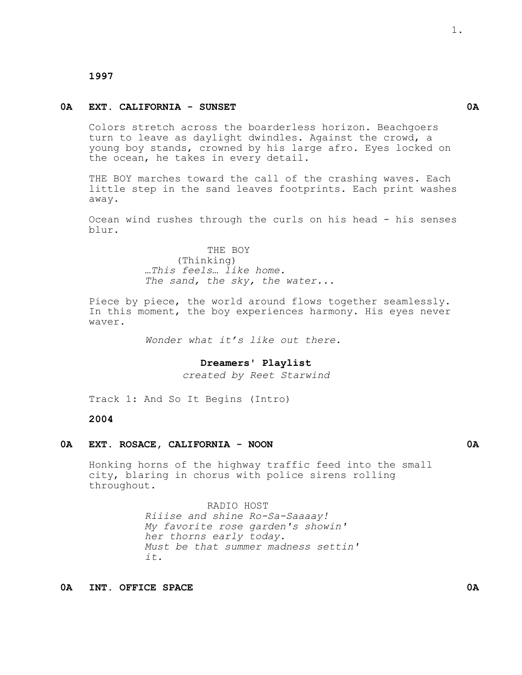### **1997**

#### **0A EXT. CALIFORNIA - SUNSET 0A**

Colors stretch across the boarderless horizon. Beachgoers turn to leave as daylight dwindles. Against the crowd, a young boy stands, crowned by his large afro. Eyes locked on the ocean, he takes in every detail.

THE BOY marches toward the call of the crashing waves. Each little step in the sand leaves footprints. Each print washes away.

Ocean wind rushes through the curls on his head - his senses blur.

> THE BOY (Thinking) *…This feels… like home. The sand, the sky, the water...*

Piece by piece, the world around flows together seamlessly. In this moment, the boy experiences harmony. His eyes never waver.

*Wonder what it's like out there.*

**Dreamers' Playlist**

*created by Reet Starwind*

Track 1: And So It Begins (Intro)

## **2004**

### **0A EXT. ROSACE, CALIFORNIA - NOON 0A**

Honking horns of the highway traffic feed into the small city, blaring in chorus with police sirens rolling throughout.

#### RADIO HOST

*Riiise and shine Ro-Sa-Saaaay! My favorite rose garden's showin' her thorns early today. Must be that summer madness settin' it.*

**0A INT. OFFICE SPACE 0A**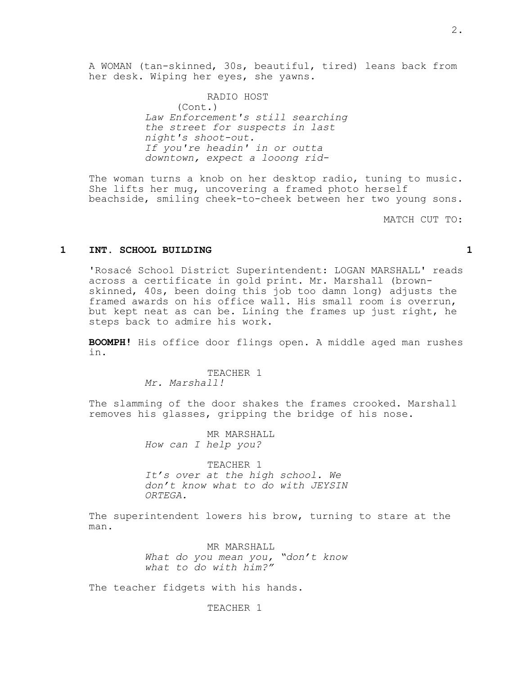RADIO HOST (Cont.) *Law Enforcement's still searching the street for suspects in last night's shoot-out. If you're headin' in or outta downtown, expect a looong rid-*

The woman turns a knob on her desktop radio, tuning to music. She lifts her mug, uncovering a framed photo herself beachside, smiling cheek-to-cheek between her two young sons.

MATCH CUT TO:

#### **1 INT. SCHOOL BUILDING 1**

'Rosacé School District Superintendent: LOGAN MARSHALL' reads across a certificate in gold print. Mr. Marshall (brownskinned, 40s, been doing this job too damn long) adjusts the framed awards on his office wall. His small room is overrun, but kept neat as can be. Lining the frames up just right, he steps back to admire his work.

**BOOMPH!** His office door flings open. A middle aged man rushes in.

# TEACHER 1

*Mr. Marshall!*

The slamming of the door shakes the frames crooked. Marshall removes his glasses, gripping the bridge of his nose.

> MR MARSHALL *How can I help you?*

TEACHER 1 *It's over at the high school. We don't know what to do with JEYSIN ORTEGA.*

The superintendent lowers his brow, turning to stare at the man.

> MR MARSHALL *What do you mean you, "don't know what to do with him?"*

The teacher fidgets with his hands.

TEACHER 1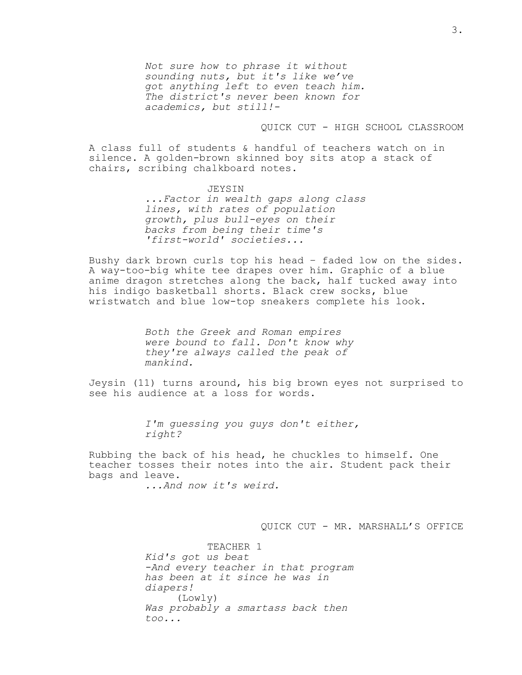*Not sure how to phrase it without sounding nuts, but it's like we've got anything left to even teach him. The district's never been known for academics, but still!-*

#### QUICK CUT - HIGH SCHOOL CLASSROOM

A class full of students & handful of teachers watch on in silence. A golden-brown skinned boy sits atop a stack of chairs, scribing chalkboard notes.

> JEYSIN *...Factor in wealth gaps along class lines, with rates of population growth, plus bull-eyes on their backs from being their time's 'first-world' societies...*

Bushy dark brown curls top his head – faded low on the sides. A way-too-big white tee drapes over him. Graphic of a blue anime dragon stretches along the back, half tucked away into his indigo basketball shorts. Black crew socks, blue wristwatch and blue low-top sneakers complete his look.

> *Both the Greek and Roman empires were bound to fall. Don't know why they're always called the peak of mankind.*

Jeysin (11) turns around, his big brown eyes not surprised to see his audience at a loss for words.

> *I'm guessing you guys don't either, right?*

Rubbing the back of his head, he chuckles to himself. One teacher tosses their notes into the air. Student pack their bags and leave.

...And now it's weird.

QUICK CUT - MR. MARSHALL'S OFFICE

TEACHER 1 *Kid's got us beat -And every teacher in that program has been at it since he was in diapers!* (Lowly) Was probably a smartass back then *too*...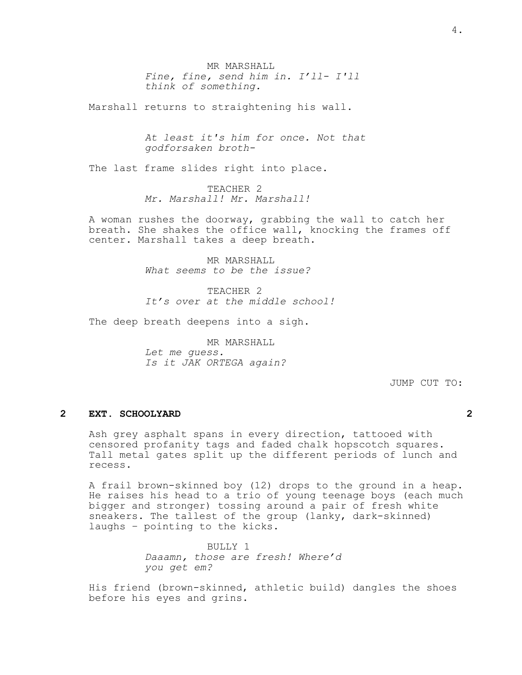MR MARSHALL *Fine, fine, send him in. I'll- I'll think of something.*

Marshall returns to straightening his wall.

*At least it's him for once. Not that godforsaken broth-*

The last frame slides right into place.

TEACHER 2 *Mr. Marshall! Mr. Marshall!*

A woman rushes the doorway, grabbing the wall to catch her breath. She shakes the office wall, knocking the frames off center. Marshall takes a deep breath.

> MR MARSHALL *What seems to be the issue?*

TEACHER<sub>2</sub> *It's over at the middle school!*

The deep breath deepens into a sigh.

MR MARSHALL *Let me guess. Is it JAK ORTEGA again?*

JUMP CUT TO:

### **2 EXT. SCHOOLYARD 2**

Ash grey asphalt spans in every direction, tattooed with censored profanity tags and faded chalk hopscotch squares. Tall metal gates split up the different periods of lunch and recess.

A frail brown-skinned boy (12) drops to the ground in a heap. He raises his head to a trio of young teenage boys (each much bigger and stronger) tossing around a pair of fresh white sneakers. The tallest of the group (lanky, dark-skinned) laughs – pointing to the kicks.

> BULLY 1 *Daaamn, those are fresh! Where'd you get em?*

His friend (brown-skinned, athletic build) dangles the shoes before his eyes and grins.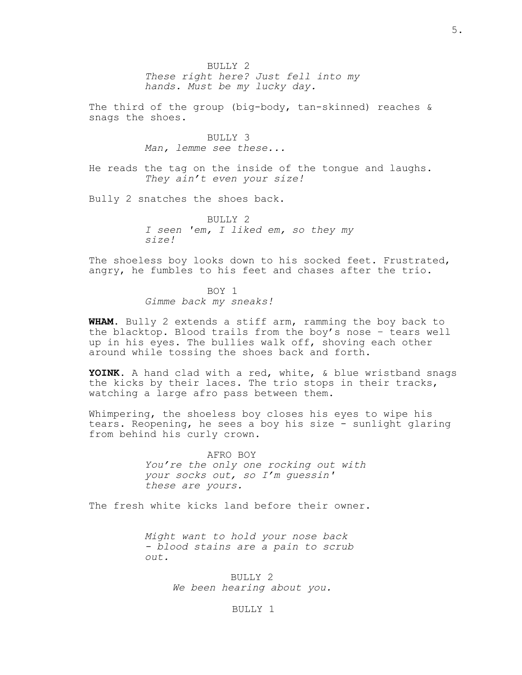$BUITJY$  2 *These right here? Just fell into my hands. Must be my lucky day.*

The third of the group (big-body, tan-skinned) reaches & snags the shoes.

> BULLY 3 *Man, lemme see these...*

He reads the tag on the inside of the tongue and laughs. *They ain't even your size!*

Bully 2 snatches the shoes back.

BULLY<sub>2</sub> *I seen 'em, I liked em, so they my size!*

The shoeless boy looks down to his socked feet. Frustrated, angry, he fumbles to his feet and chases after the trio.

> BOY 1 *Gimme back my sneaks!*

**WHAM.** Bully 2 extends a stiff arm, ramming the boy back to the blacktop. Blood trails from the boy's nose – tears well up in his eyes. The bullies walk off, shoving each other around while tossing the shoes back and forth.

**YOINK.** A hand clad with a red, white, & blue wristband snags the kicks by their laces. The trio stops in their tracks, watching a large afro pass between them.

Whimpering, the shoeless boy closes his eyes to wipe his tears. Reopening, he sees a boy his size - sunlight glaring from behind his curly crown.

> AFRO BOY *Y*ou're the *only one* rocking out with your socks out, so I'm guessin' these are yours.

The fresh white kicks land before their owner.

Might want to hold your nose back - *blood stains are a pain to scrub out*.

> BULLY 2 We been hearing about you.

## BULLY 1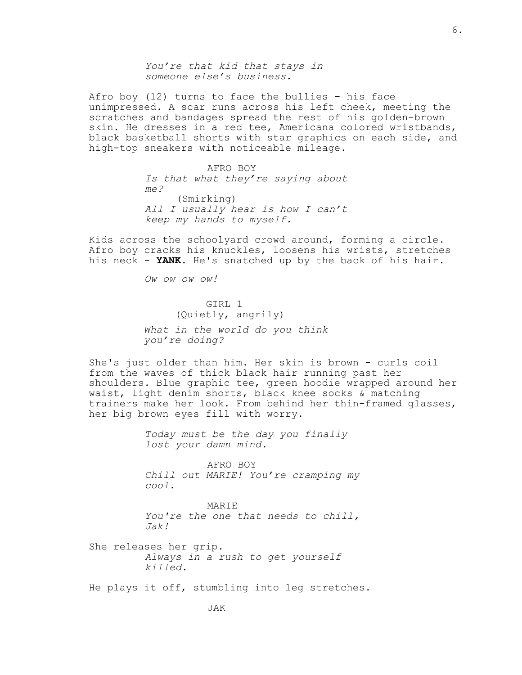You're that kid that stay*s* in someone else's business.

Afro boy (12) turns to face the bullies – his face unimpressed. A scar runs across his left cheek, meeting the scratches and bandages spread the rest of his golden-brown skin. He dresses in a red tee, Americana colored wristbands, black basketball shorts with star graphics on each side, and high-top sneakers with noticeable mileage.

> AFRO BOY Is that what they're saying about me? (Smirking) All I usually hear is how I can't keep my hands to myself.

Kids across the schoolyard crowd around, forming a circle. Afro boy cracks his knuckles, loosens his wrists, stretches his neck - **YANK.** He's snatched up by the back of his hair.

Ow ow ow!

GIRL 1 (Quietly, angrily) *What in the world do you think you're doing?*

She's just older than him. Her skin is brown - curls coil from the waves of thick black hair running past her shoulders. Blue graphic tee, green hoodie wrapped around her waist, light denim shorts, black knee socks & matching trainers make her look. From behind her thin-framed glasses, her big brown eyes fill with worry.

> *Today must be the day you finally lost your damn mind.*

AFRO BOY *Chill out MARIE! You're cramping my cool.*

MARIE *You're the one that needs to chill, Jak!*

She releases her grip. *Always in a rush to get yourself killed.*

He plays it off, stumbling into leg stretches.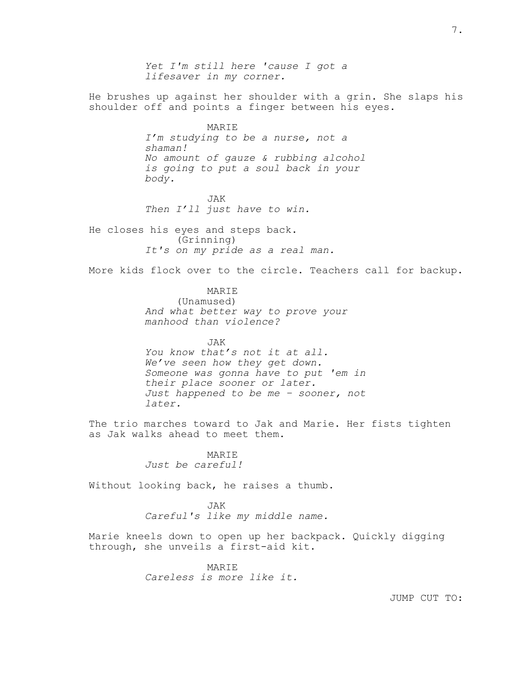*Yet I'm still here 'cause I got a lifesaver in my corner.* He brushes up against her shoulder with a grin. She slaps his shoulder off and points a finger between his eyes. MARIE *I'm studying to be a nurse, not a shaman! No amount of gauze & rubbing alcohol is going to put a soul back in your body.* JAK *Then I'll just have to win.* He closes his eyes and steps back. (Grinning) *It's on my pride as a real man.* More kids flock over to the circle. Teachers call for backup. MARIE (Unamused) *And what better way to prove your manhood than violence?* JAK *You know that's not it at all. We've seen how they get down. Someone was gonna have to put 'em in their place sooner or later. Just happened to be me – sooner, not later.*

The trio marches toward to Jak and Marie. Her fists tighten as Jak walks ahead to meet them.

> MARIE *Just be careful!*

Without looking back, he raises a thumb.

JAK *Careful's like my middle name.*

Marie kneels down to open up her backpack. Quickly digging through, she unveils a first-aid kit.

> MARIE *Careless is more like it.*

> > JUMP CUT TO: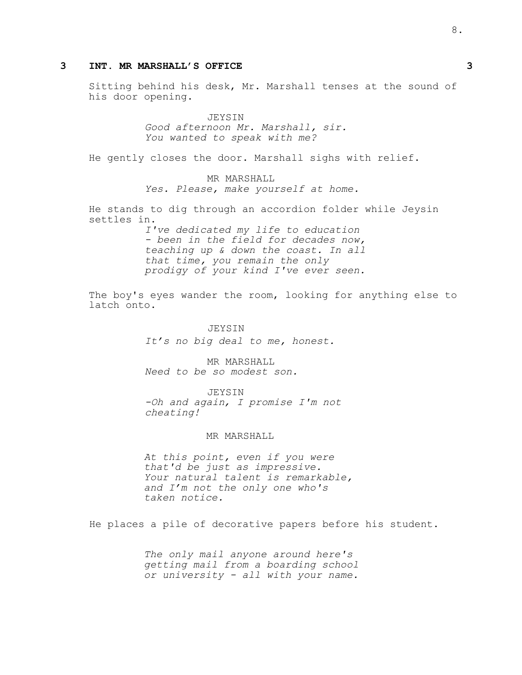## **3 INT. MR MARSHALL'S OFFICE 3**

Sitting behind his desk, Mr. Marshall tenses at the sound of his door opening.

> JEYSIN *Good afternoon Mr. Marshall, sir. You wanted to speak with me?*

He gently closes the door. Marshall sighs with relief.

MR MARSHALL *Yes. Please, make yourself at home.*

He stands to dig through an accordion folder while Jeysin settles in.

> *I've dedicated my life to education - been in the field for decades now, teaching up & down the coast. In all that time, you remain the only prodigy of your kind I've ever seen.*

The boy's eyes wander the room, looking for anything else to latch onto.

## JEYSIN *It's no big deal to me, honest.*

MR MARSHALL *Need to be so modest son.*

JEYSIN -Oh and again, I promise I'm not cheating!

### MR MARSHALL

*At this point, even if you were that'd be just as impressive. Your natural talent is remarkable, and I'm not the only one who's taken notice.*

He places a pile of decorative papers before his student.

*The only mail anyone around here's getting mail from a boarding school or university - all with your name.*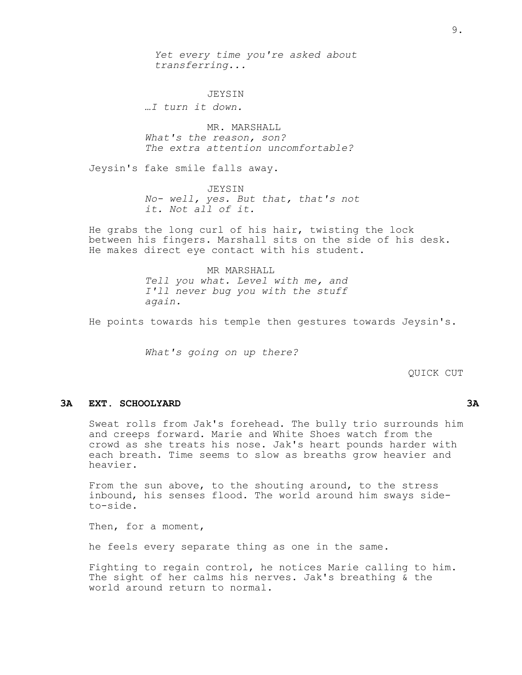*Yet every time you're asked about transferring...*

JEYSIN

*…I turn it down.*

MR. MARSHALL *What's the reason, son? The extra attention uncomfortable?*

Jeysin's fake smile falls away.

JEYSIN *No- well, yes. But that, that's not it. Not all of it.*

He grabs the long curl of his hair, twisting the lock between his fingers. Marshall sits on the side of his desk. He makes direct eye contact with his student.

> MR MARSHALL *Tell you what. Level with me, and I'll never bug you with the stuff again.*

He points towards his temple then gestures towards Jeysin's.

*What's going on up there?*

QUICK CUT

## **3A EXT. SCHOOLYARD 3A**

Sweat rolls from Jak's forehead. The bully trio surrounds him and creeps forward. Marie and White Shoes watch from the crowd as she treats his nose. Jak's heart pounds harder with each breath. Time seems to slow as breaths grow heavier and heavier.

From the sun above, to the shouting around, to the stress inbound, his senses flood. The world around him sways sideto-side.

Then, for a moment,

he feels every separate thing as one in the same.

Fighting to regain control, he notices Marie calling to him. The sight of her calms his nerves. Jak's breathing & the world around return to normal.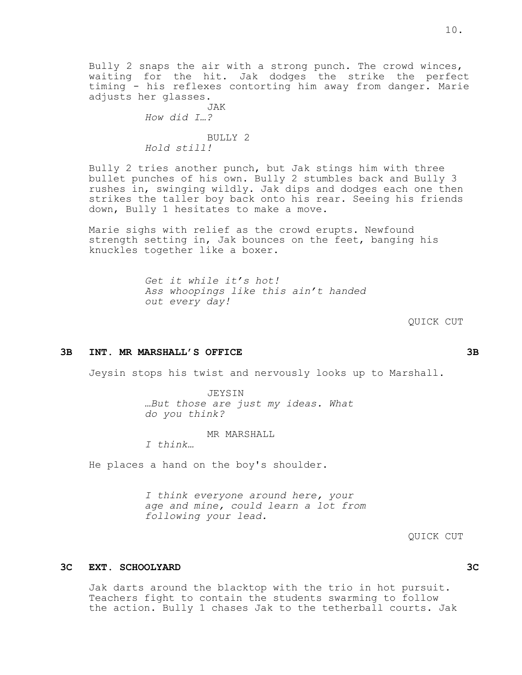Bully 2 snaps the air with a strong punch. The crowd winces, waiting for the hit. Jak dodges the strike the perfect timing - his reflexes contorting him away from danger. Marie adjusts her glasses.

> JAK *How did I…?*

BULLY 2 *Hold still!*

Bully 2 tries another punch, but Jak stings him with three bullet punches of his own. Bully 2 stumbles back and Bully 3 rushes in, swinging wildly. Jak dips and dodges each one then strikes the taller boy back onto his rear. Seeing his friends down, Bully 1 hesitates to make a move.

Marie sighs with relief as the crowd erupts. Newfound strength setting in, Jak bounces on the feet, banging his knuckles together like a boxer.

> *Get it while it's hot! Ass whoopings like this ain't handed out every day!*

#### QUICK CUT

#### **3B INT. MR MARSHALL'S OFFICE 3B**

Jeysin stops his twist and nervously looks up to Marshall.

JEYSIN *…But those are just my ideas. What do you think?*

MR MARSHALL

*I think…*

He places a hand on the boy's shoulder.

*I think everyone around here, your age and mine, could learn a lot from following your lead.*

## **3C EXT. SCHOOLYARD 3C**

Jak darts around the blacktop with the trio in hot pursuit. Teachers fight to contain the students swarming to follow the action. Bully 1 chases Jak to the tetherball courts. Jak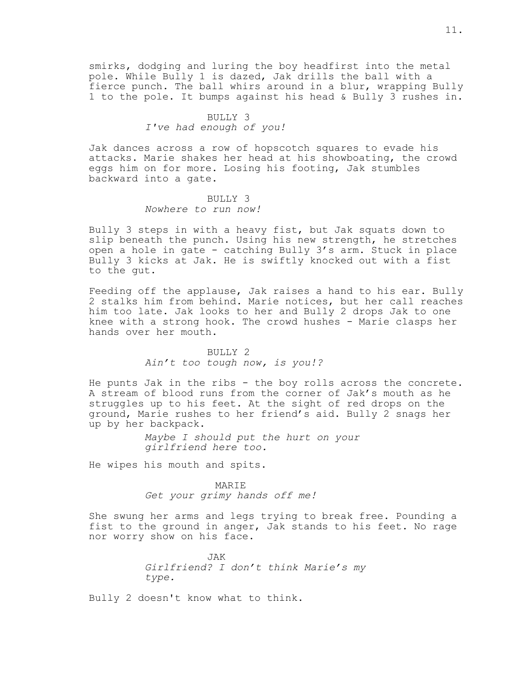smirks, dodging and luring the boy headfirst into the metal pole. While Bully 1 is dazed, Jak drills the ball with a fierce punch. The ball whirs around in a blur, wrapping Bully 1 to the pole. It bumps against his head & Bully 3 rushes in.

## BULLY 3 *I've had enough of you!*

Jak dances across a row of hopscotch squares to evade his attacks. Marie shakes her head at his showboating, the crowd eggs him on for more. Losing his footing, Jak stumbles backward into a gate.

## BULLY 3 *Nowhere to run now!*

Bully 3 steps in with a heavy fist, but Jak squats down to slip beneath the punch. Using his new strength, he stretches open a hole in gate - catching Bully 3's arm. Stuck in place Bully 3 kicks at Jak. He is swiftly knocked out with a fist to the gut.

Feeding off the applause, Jak raises a hand to his ear. Bully 2 stalks him from behind. Marie notices, but her call reaches him too late. Jak looks to her and Bully 2 drops Jak to one knee with a strong hook. The crowd hushes - Marie clasps her hands over her mouth.

## BULLY 2 *Ain't too tough now, is you!?*

He punts Jak in the ribs - the boy rolls across the concrete. A stream of blood runs from the corner of Jak's mouth as he struggles up to his feet. At the sight of red drops on the ground, Marie rushes to her friend's aid. Bully 2 snags her up by her backpack.

> *Maybe I should put the hurt on your girlfriend here too.*

He wipes his mouth and spits.

### MARIE

Get your grimy hands off me!

She swung her arms and legs trying to break free. Pounding a fist to the ground in anger, Jak stands to his feet. No rage nor worry show on his face.

> JAK *Girlfriend? I don't think Marie's my type.*

Bully 2 doesn't know what to think.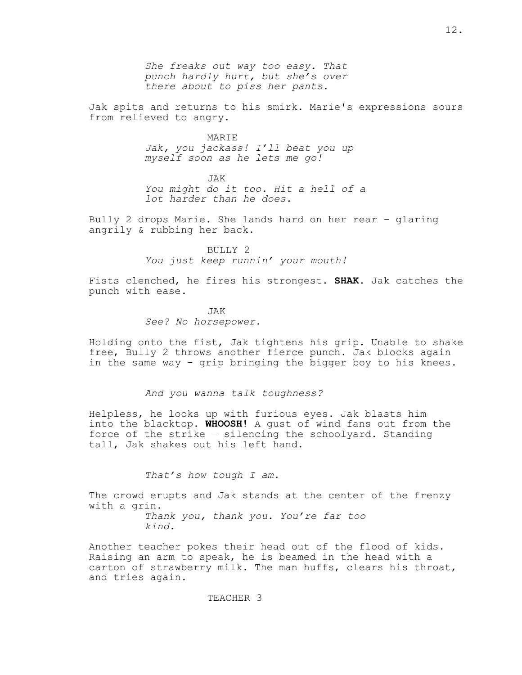*She freaks out way too easy. That punch hardly hurt, but she's over there about to piss her pants.*

Jak spits and returns to his smirk. Marie's expressions sours from relieved to angry.

> MARIE *Jak, you jackass! I'll beat you up myself soon as he lets me go!*

JAK *You might do it too. Hit a hell of a lot harder than he does.*

Bully 2 drops Marie. She lands hard on her rear – glaring angrily & rubbing her back.

> BULLY 2 *You just keep runnin' your mouth!*

Fists clenched, he fires his strongest. **SHAK**. Jak catches the punch with ease.

> JAK *See? No horsepower.*

Holding onto the fist, Jak tightens his grip. Unable to shake free, Bully 2 throws another fierce punch. Jak blocks again in the same way - grip bringing the bigger boy to his knees.

*And you wanna talk toughness?*

Helpless, he looks up with furious eyes. Jak blasts him into the blacktop. **WHOOSH!** A gust of wind fans out from the force of the strike – silencing the schoolyard. Standing tall, Jak shakes out his left hand.

*That's how tough I am.*

The crowd erupts and Jak stands at the center of the frenzy with a grin. *Thank you, thank you. You're far too kind.*

Another teacher pokes their head out of the flood of kids. Raising an arm to speak, he is beamed in the head with a carton of strawberry milk. The man huffs, clears his throat, and tries again.

TEACHER 3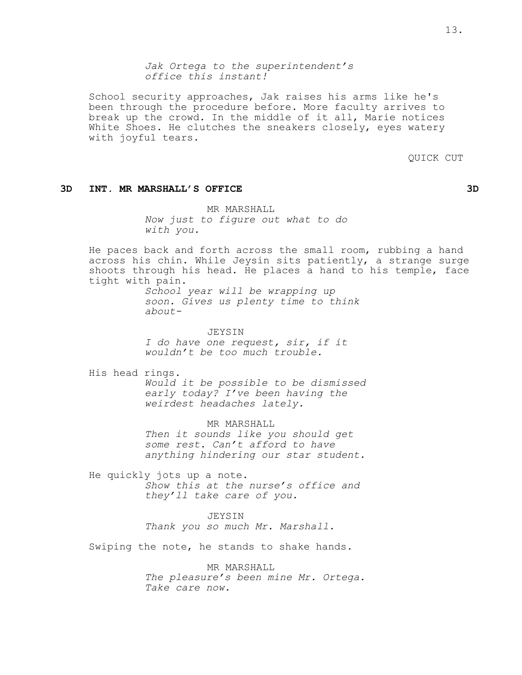*Jak Ortega to the superintendent's office this instant!*

School security approaches, Jak raises his arms like he's been through the procedure before. More faculty arrives to break up the crowd. In the middle of it all, Marie notices White Shoes. He clutches the sneakers closely, eyes watery with joyful tears.

QUICK CUT

## **3D INT. MR MARSHALL'S OFFICE 3D**

MR MARSHALL *Now just to figure out what to do with you.*

He paces back and forth across the small room, rubbing a hand across his chin. While Jeysin sits patiently, a strange surge shoots through his head. He places a hand to his temple, face tight with pain.

> *School year will be wrapping up soon. Gives us plenty time to think about-*

JEYSIN *I do have one request, sir, if it wouldn't be too much trouble.*

His head rings.

*Would it be possible to be dismissed early today? I've been having the weirdest headaches lately.*

MR MARSHALL

*Then it sounds like you should get some rest. Can't afford to have anything hindering our star student.*

He quickly jots up a note. *Show this at the nurse's office and they'll take care of you.*

JEYSIN

*Thank you so much Mr. Marshall.*

Swiping the note, he stands to shake hands.

MR MARSHALL *The pleasure's been mine Mr. Ortega. Take care now.*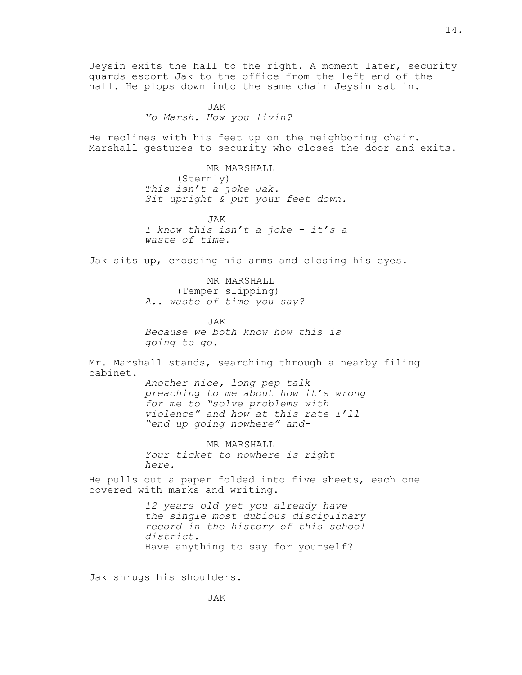Jeysin exits the hall to the right. A moment later, security guards escort Jak to the office from the left end of the hall. He plops down into the same chair Jeysin sat in.

> JAK *Yo Marsh. How you livin?*

He reclines with his feet up on the neighboring chair. Marshall gestures to security who closes the door and exits.

> MR MARSHALL (Sternly) *This isn't a joke Jak. Sit upright & put your feet down.*

> JAK *I know this isn't a joke - it's a waste of time.*

Jak sits up, crossing his arms and closing his eyes.

MR MARSHALL (Temper slipping) *A.. waste of time you say?*

JAK *Because we both know how this is going to go.*

Mr. Marshall stands, searching through a nearby filing cabinet.

> *Another nice, long pep talk preaching to me about how it's wrong for me to "solve problems with violence" and how at this rate I'll "end up going nowhere" and-*

MR MARSHALL *Your ticket to nowhere is right here.*

He pulls out a paper folded into five sheets, each one covered with marks and writing.

> *12 years old yet you already have the single most dubious disciplinary record in the history of this school district.* Have anything to say for yourself?

Jak shrugs his shoulders.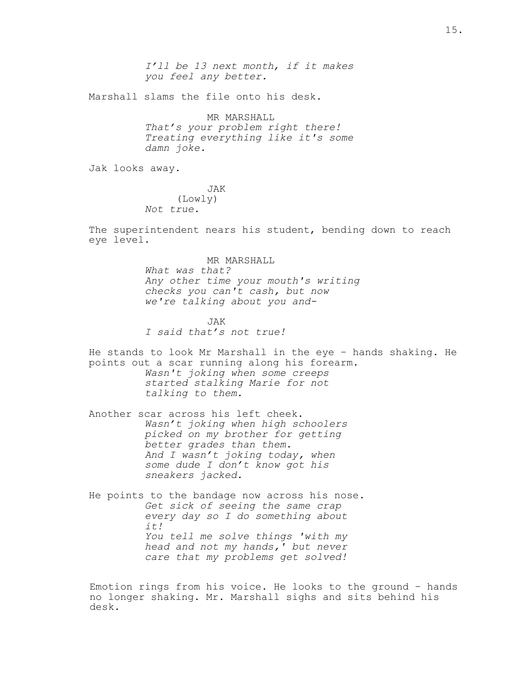I'll be 13 next month, if it makes you feel any better.

Marshall slams the file onto his desk.

MR MARSHALL *That's your problem right there! Treating everything like it's some damn joke.*

Jak looks away.

JAK (Lowly) *Not true.*

The superintendent nears his student, bending down to reach eye level.

> MR MARSHALL *What was that? Any other time your mouth's writing checks you can't cash, but now we're talking about you and-*

JAK *I said that's not true!*

He stands to look Mr Marshall in the eye – hands shaking. He points out a scar running along his forearm. *Wasn't joking when some creeps started stalking Marie for not talking to them.*

Another scar across his left cheek. *Wasn't joking when high schoolers picked on my brother for getting better grades than them. And I wasn't joking today, when some dude I don't know got his sneakers jacked.*

He points to the bandage now across his nose. *Get sick of seeing the same crap every day so I do something about it! You tell me solve things 'with my head and not my hands,' but never care that my problems get solved!*

Emotion rings from his voice. He looks to the ground – hands no longer shaking. Mr. Marshall sighs and sits behind his desk.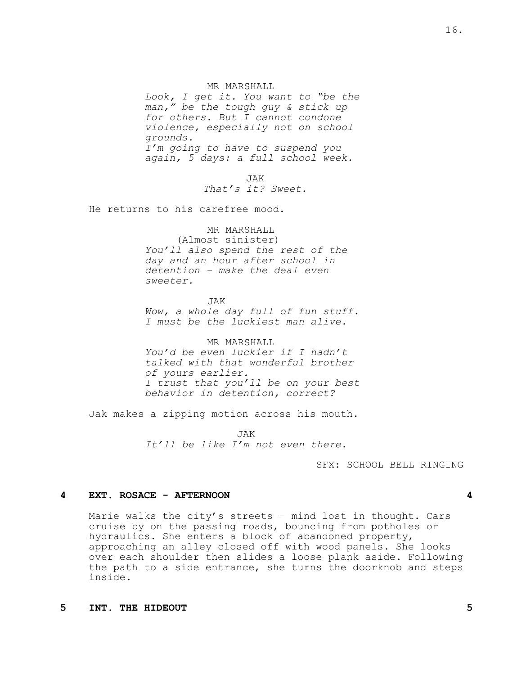#### MR MARSHALL

*Look, I get it. You want to "be the man," be the tough guy & stick up for others. But I cannot condone violence, especially not on school grounds. I'm going to have to suspend you again, 5 days: a full school week.*

> JAK That's it? Sweet.

He returns to his carefree mood.

MR MARSHALL (Almost sinister) *You'll also spend the rest of the day and an hour after school in detention – make the deal even sweeter.*

JAK *Wow, a whole day full of fun stuff. I must be the luckiest man alive.*

MR MARSHALL *You'd be even luckier if I hadn't talked with that wonderful brother of yours earlier. I trust that you'll be on your best behavior in detention, correct?*

Jak makes a zipping motion across his mouth.

JAK It'll be like I'm not even there.

SFX: SCHOOL BELL RINGING

#### **4 EXT. ROSACE - AFTERNOON 4**

Marie walks the city's streets – mind lost in thought. Cars cruise by on the passing roads, bouncing from potholes or hydraulics. She enters a block of abandoned property, approaching an alley closed off with wood panels. She looks over each shoulder then slides a loose plank aside. Following the path to a side entrance, she turns the doorknob and steps inside.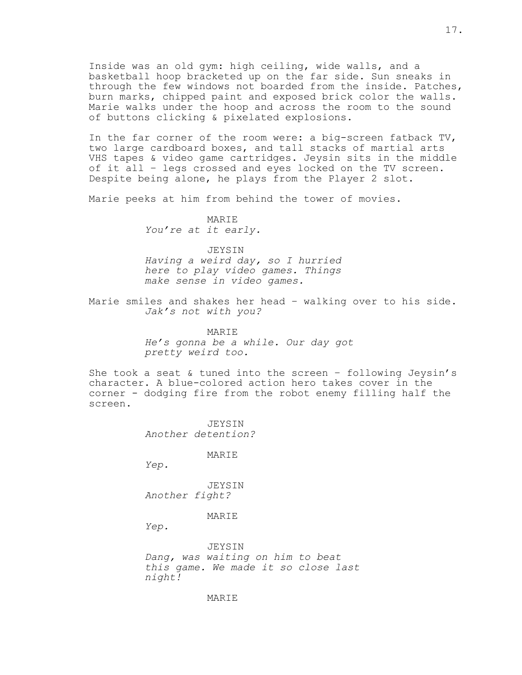Inside was an old gym: high ceiling, wide walls, and a basketball hoop bracketed up on the far side. Sun sneaks in through the few windows not boarded from the inside. Patches, burn marks, chipped paint and exposed brick color the walls. Marie walks under the hoop and across the room to the sound of buttons clicking & pixelated explosions.

In the far corner of the room were: a big-screen fatback TV, two large cardboard boxes, and tall stacks of martial arts VHS tapes & video game cartridges. Jeysin sits in the middle of it all – legs crossed and eyes locked on the TV screen. Despite being alone, he plays from the Player 2 slot.

Marie peeks at him from behind the tower of movies.

MARIE *You're at it early.*

JEYSIN

*Having a weird day, so I hurried here to play video games. Things make sense in video games.*

Marie smiles and shakes her head – walking over to his side. *Jak's not with you?*

> MARIE *He's gonna be a while. Our day got pretty weird too.*

She took a seat & tuned into the screen – following Jeysin's character. A blue-colored action hero takes cover in the corner - dodging fire from the robot enemy filling half the screen.

> JEYSIN *Another detention?*

> > MARIE

*Yep.*

JEYSIN *Another fight?*

MARIE

*Yep.*

JEYSIN *Dang, was waiting on him to beat this game. We made it so close last night!*

MARIE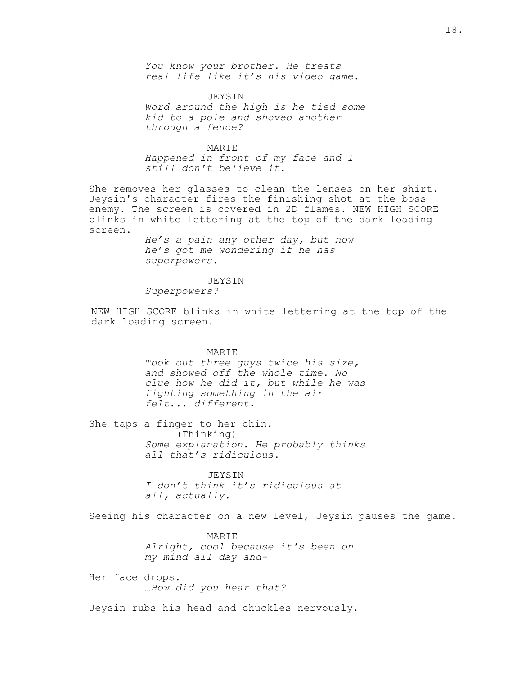*You know your brother. He treats real life like it's his video game.*

JEYSIN *Word around the high is he tied some kid to a pole and shoved another through a fence?*

MARIE *Happened in front of my face and I still don't believe it.*

She removes her glasses to clean the lenses on her shirt. Jeysin's character fires the finishing shot at the boss enemy. The screen is covered in 2D flames. NEW HIGH SCORE blinks in white lettering at the top of the dark loading screen.

> *He's a pain any other day, but now he's got me wondering if he has superpowers.*

JEYSIN *Superpowers?*

NEW HIGH SCORE blinks in white lettering at the top of the dark loading screen.

MARIE

*Took out three guys twice his size, and showed off the whole time. No clue how he did it, but while he was fighting something in the air felt... different.*

She taps a finger to her chin. (Thinking) *Some explanation. He probably thinks all that's ridiculous.*

> JEYSIN *I don't think it's ridiculous at all, actually.*

Seeing his character on a new level, Jeysin pauses the game.

**MARTE** *Alright, cool because it's been on my mind all day and-*

Her face drops. *…How did you hear that?*

Jeysin rubs his head and chuckles nervously.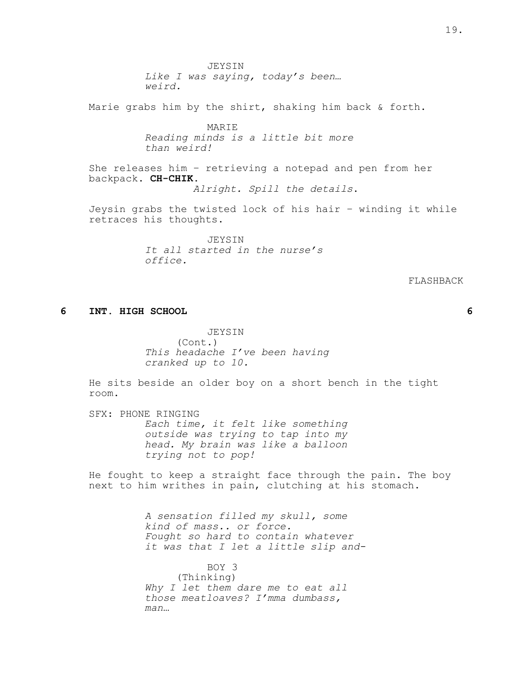JEYSIN *Like I was saying, today's been… weird.* Marie grabs him by the shirt, shaking him back & forth. MARIE *Reading minds is a little bit more than weird!* She releases him – retrieving a notepad and pen from her backpack. **CH-CHIK.** Alright. Spill the details. Jeysin grabs the twisted lock of his hair – winding it while retraces his thoughts. JEYSIN *It all started in the nurse's office.*

FLASHBACK

#### **6 INT. HIGH SCHOOL 6**

JEYSIN (Cont.) *This headache I've been having cranked up to 10.*

He sits beside an older boy on a short bench in the tight room.

SFX: PHONE RINGING *Each time, it felt like something outside was trying to tap into my head. My brain was like a balloon trying not to pop!*

He fought to keep a straight face through the pain. The boy next to him writhes in pain, clutching at his stomach.

> *A sensation filled my skull, some kind of mass.. or force. Fought so hard to contain whatever it was that I let a little slip and-*

BOY 3 (Thinking) *Why I let them dare me to eat all those meatloaves? I'mma dumbass, man…*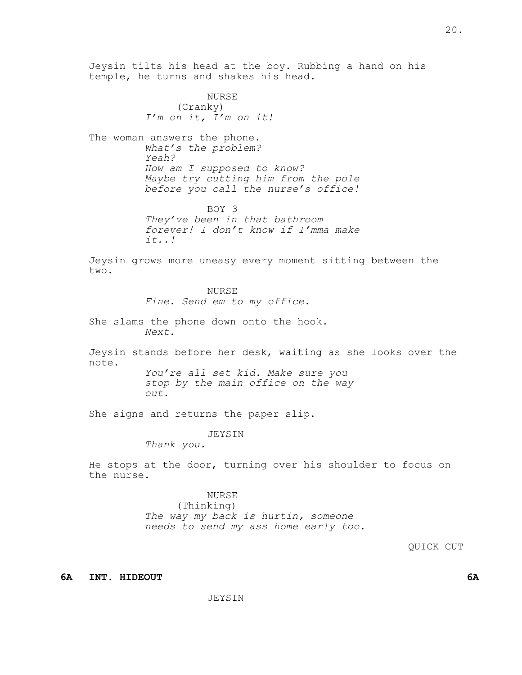Jeysin tilts his head at the boy. Rubbing a hand on his temple, he turns and shakes his head. NURSE (Cranky) *I'm on it, I'm on it!* The woman answers the phone. *What's the problem? Yeah? How am I supposed to know? Maybe try cutting him from the pole before you call the nurse's office!* BOY 3 They've been in that bathroom forever! I don't know if I'mma make  $it...!$ Jeysin grows more uneasy every moment sitting between the two. NURSE *Fine. Send em to my office.* She slams the phone down onto the hook. *Next.* Jeysin stands before her desk, waiting as she looks over the note. *You're all set kid. Make sure you stop by the main office on the way out.* She signs and returns the paper slip. JEYSIN *Thank you.* He stops at the door, turning over his shoulder to focus on the nurse. NURSE (Thinking) *The way my back is hurtin, someone needs to send my ass home early too.* QUICK CUT **6A INT. HIDEOUT 6A**

20.

JEYSIN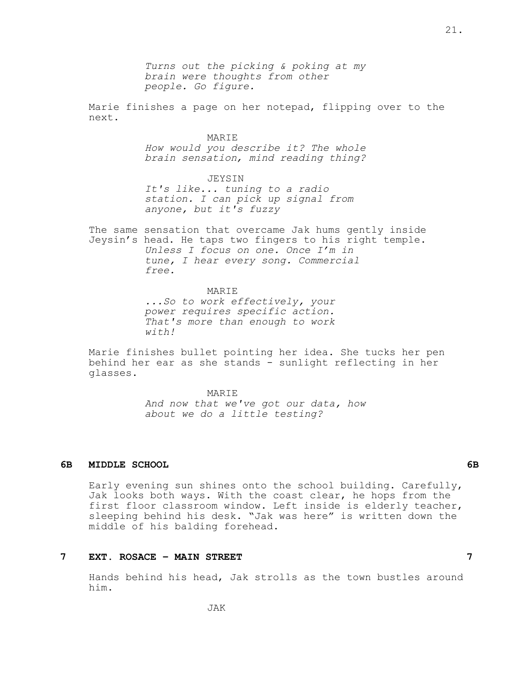*Turns out the picking & poking at my brain were thoughts from other people. Go figure.*

Marie finishes a page on her notepad, flipping over to the next.

MARIE

How would you describe it? The whole brain sensation, mind reading thing?

JEYSIN *It's like... tuning to a radio station. I can pick up signal from anyone, but it's fuzzy*

The same sensation that overcame Jak hums gently inside Jeysin's head. He taps two fingers to his right temple. *Unless I focus on one. Once I'm in tune, I hear every song. Commercial free.*

> **MARTE** *...So to work effectively, your power requires specific action. That's more than enough to work with!*

Marie finishes bullet pointing her idea. She tucks her pen behind her ear as she stands - sunlight reflecting in her glasses.

> MARIE *And now that we've got our data, how about we do a little testing?*

## **6B MIDDLE SCHOOL 6B**

Early evening sun shines onto the school building. Carefully, Jak looks both ways. With the coast clear, he hops from the first floor classroom window. Left inside is elderly teacher, sleeping behind his desk. "Jak was here" is written down the middle of his balding forehead.

#### **7 EXT. ROSACE – MAIN STREET 7**

Hands behind his head, Jak strolls as the town bustles around him.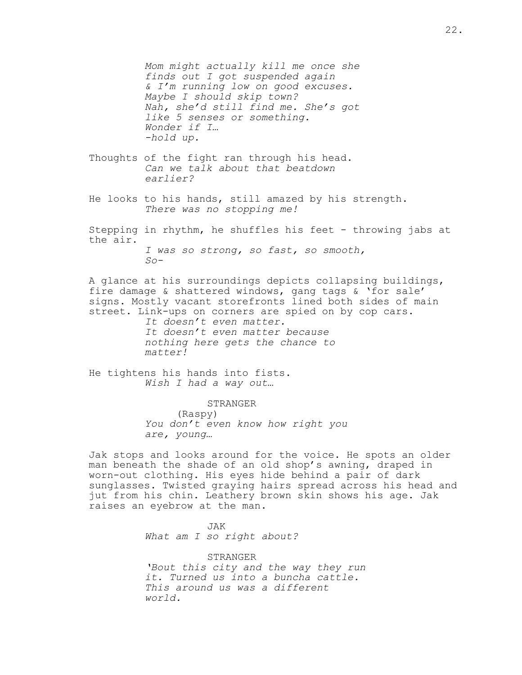*Mom might actually kill me once she finds out I got suspended again & I'm running low on good excuses. Maybe I should skip town? Nah, she'd still find me. She's got like 5 senses or something. Wonder if I… -hold up.*

- Thoughts of the fight ran through his head. *Can we talk about that beatdown earlier?*
- He looks to his hands, still amazed by his strength. *There was no stopping me!*
- Stepping in rhythm, he shuffles his feet throwing jabs at the air. *I was so strong, so fast, so smooth,*

*So-*

A glance at his surroundings depicts collapsing buildings, fire damage & shattered windows, gang tags & 'for sale' signs. Mostly vacant storefronts lined both sides of main street. Link-ups on corners are spied on by cop cars.

> *It doesn't even matter. It doesn't even matter because nothing here gets the chance to matter!*

He tightens his hands into fists. *Wish I had a way out…*

> STRANGER (Raspy) *You don't even know how right you are, young…*

Jak stops and looks around for the voice. He spots an older man beneath the shade of an old shop's awning, draped in worn-out clothing. His eyes hide behind a pair of dark sunglasses. Twisted graying hairs spread across his head and jut from his chin. Leathery brown skin shows his age. Jak raises an eyebrow at the man.

> JAK *What am I so right about?*

STRANGER *'Bout this city and the way they run it. Turned us into a buncha cattle. This around us was a different world.*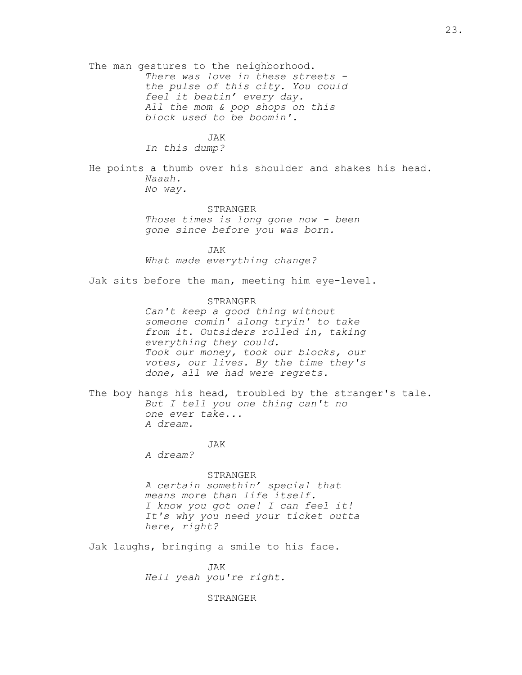The man gestures to the neighborhood. *There was love in these streets the pulse of this city. You could feel it beatin' every day. All the mom & pop shops on this block used to be boomin'.*

JAK

*In this dump?*

He points a thumb over his shoulder and shakes his head. *Naaah. No way.*

STRANGER

*Those times is long gone now - been gone since before you was born.*

JAK *What made everything change?*

Jak sits before the man, meeting him eye-level.

STRANGER *Can't keep a good thing without someone comin' along tryin' to take from it. Outsiders rolled in, taking everything they could. Took our money, took our blocks, our votes, our lives. By the time they's done, all we had were regrets.*

The boy hangs his head, troubled by the stranger's tale. *But I tell you one thing can't no one ever take... A dream.*

JAK

*A dream?*

STRANGER *A certain somethin' special that means more than life itself. I know you got one! I can feel it! It's why you need your ticket outta here, right?*

Jak laughs, bringing a smile to his face.

JAK *Hell yeah you're right.*

STRANGER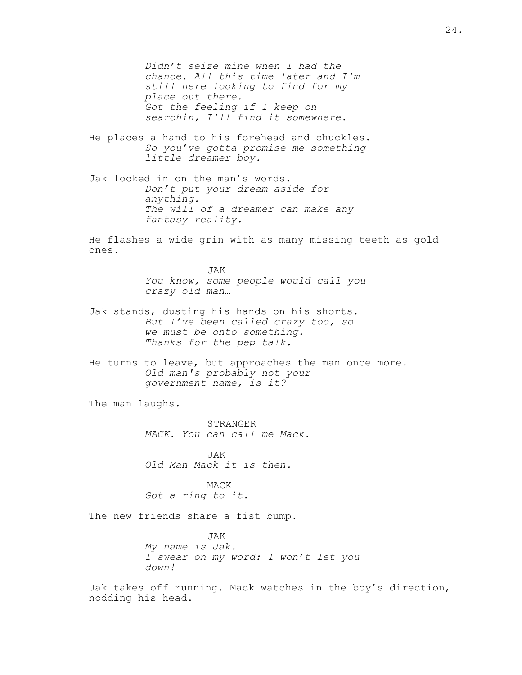*Didn't seize mine when I had the chance. All this time later and I'm still here looking to find for my place out there. Got the feeling if I keep on searchin, I'll find it somewhere.*

- He places a hand to his forehead and chuckles. *So you've gotta promise me something little dreamer boy.*
- Jak locked in on the man's words. *Don't put your dream aside for anything. The will of a dreamer can make any fantasy reality.*

He flashes a wide grin with as many missing teeth as gold ones.

> JAK *You know, some people would call you crazy old man…*

- Jak stands, dusting his hands on his shorts. *But I've been called crazy too, so we must be onto something. Thanks for the pep talk.*
- He turns to leave, but approaches the man once more. *Old man's probably not your government name, is it?*

The man laughs.

STRANGER *MACK. You can call me Mack.*

JAK *Old Man Mack it is then.*

MACK *Got a ring to it.*

The new friends share a fist bump.

JAK *My name is Jak. I swear on my word: I won't let you down!*

Jak takes off running. Mack watches in the boy's direction, nodding his head.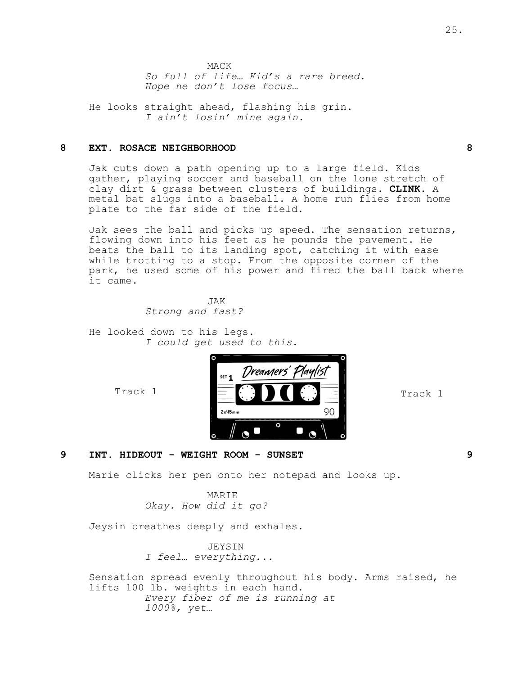He looks straight ahead, flashing his grin. *I ain't losin' mine again.*

## **8 EXT. ROSACE NEIGHBORHOOD 8**

Jak cuts down a path opening up to a large field. Kids gather, playing soccer and baseball on the lone stretch of clay dirt & grass between clusters of buildings. **CLINK.** A metal bat slugs into a baseball. A home run flies from home plate to the far side of the field.

Jak sees the ball and picks up speed. The sensation returns, flowing down into his feet as he pounds the pavement. He beats the ball to its landing spot, catching it with ease while trotting to a stop. From the opposite corner of the park, he used some of his power and fired the ball back where it came.

> JAK *Strong and fast?*

He looked down to his legs. *I could get used to this.*

Track 1



Track 1

**9 INT. HIDEOUT - WEIGHT ROOM - SUNSET 9**

Marie clicks her pen onto her notepad and looks up.

MARIE *Okay. How did it go?*

Jeysin breathes deeply and exhales.

JEYSIN *I feel… everything...*

Sensation spread evenly throughout his body. Arms raised, he lifts 100 lb. weights in each hand. *Every fiber of me is running at 1000%, yet…*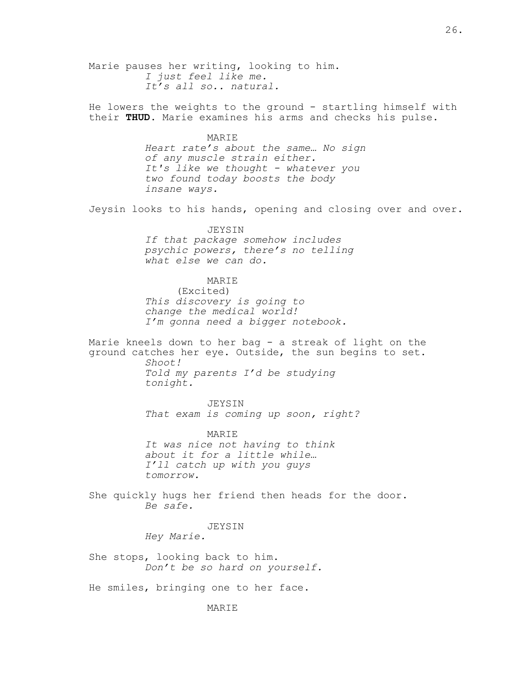Marie pauses her writing, looking to him. *I just feel like me. It's all so.. natural.* He lowers the weights to the ground - startling himself with their **THUD**. Marie examines his arms and checks his pulse. MARIE *Heart rate's about the same… No sign of any muscle strain either. It's like we thought - whatever you two found today boosts the body insane ways.* Jeysin looks to his hands, opening and closing over and over. JEYSIN *If that package somehow includes psychic powers, there's no telling what else we can do.* MARIE (Excited) *This discovery is going to change the medical world! I'm gonna need a bigger notebook.* Marie kneels down to her bag - a streak of light on the ground catches her eye. Outside, the sun begins to set. *Shoot! Told my parents I'd be studying tonight.* JEYSIN *That exam is coming up soon, right?* MARIE *It was nice not having to think about it for a little while… I'll catch up with you guys tomorrow.* She quickly hugs her friend then heads for the door. *Be safe.* JEYSIN *Hey Marie.* She stops, looking back to him. *Don't be so hard on yourself.* He smiles, bringing one to her face.

26.

**MARTE**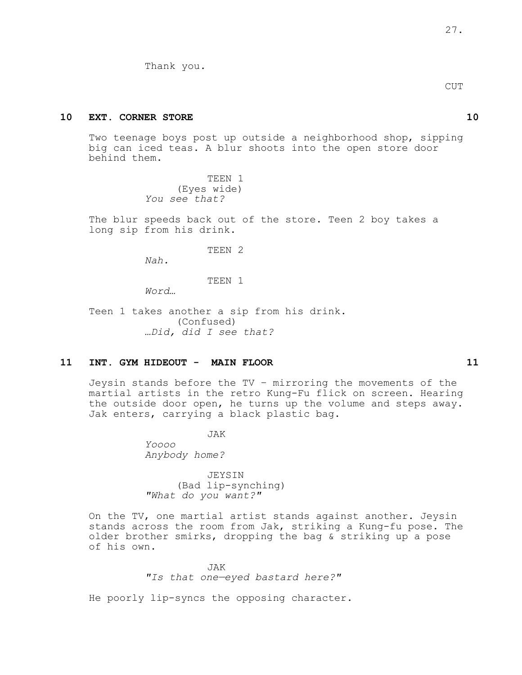Thank you.

CUT

## **10 EXT. CORNER STORE 10**

Two teenage boys post up outside a neighborhood shop, sipping big can iced teas. A blur shoots into the open store door behind them.

> TEEN 1 (Eyes wide) *You see that?*

The blur speeds back out of the store. Teen 2 boy takes a long sip from his drink.

TEEN 2

*Nah.*

TEEN 1

*Word…*

Teen 1 takes another a sip from his drink. (Confused) *…Did, did I see that?*

### **11 INT. GYM HIDEOUT - MAIN FLOOR 11**

Jeysin stands before the TV – mirroring the movements of the martial artists in the retro Kung-Fu flick on screen. Hearing the outside door open, he turns up the volume and steps away. Jak enters, carrying a black plastic bag.

JAK

*Yoooo Anybody home?*

JEYSIN (Bad lip-synching) *"What do you want?"*

On the TV, one martial artist stands against another. Jeysin stands across the room from Jak, striking a Kung-fu pose. The older brother smirks, dropping the bag & striking up a pose of his own.

JAK

*"Is that one—eyed bastard here?"*

He poorly lip-syncs the opposing character.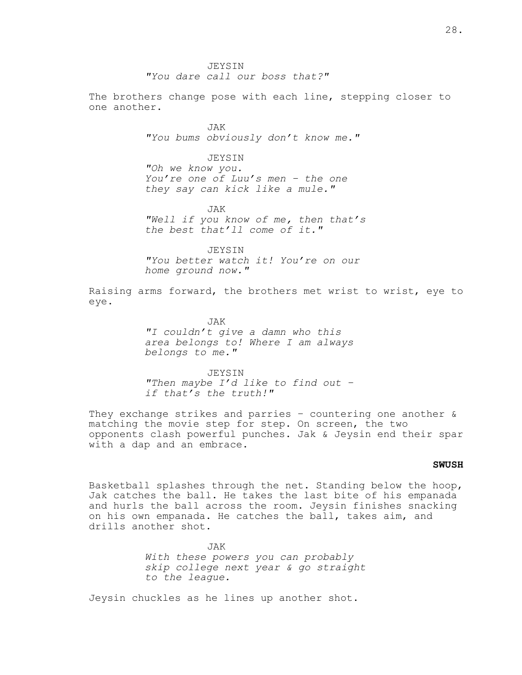**JEYSIN** *"You dare call our boss that?"*

The brothers change pose with each line, stepping closer to one another.

> JAK *"You bums obviously don't know me."*

> > JEYSIN

*"Oh we know you. You're one of Luu's men – the one they say can kick like a mule."*

JAK

*"Well if you know of me, then that's the best that'll come of it."*

JEYSIN *"You better watch it! You're on our home ground now."*

Raising arms forward, the brothers met wrist to wrist, eye to eye.

> JAK *"I couldn't give a damn who this area belongs to! Where I am always belongs to me."*

> JEYSIN *"Then maybe I'd like to find out – if that's the truth!"*

They exchange strikes and parries  $-$  countering one another  $\&$ matching the movie step for step. On screen, the two opponents clash powerful punches. Jak & Jeysin end their spar with a dap and an embrace.

## **SWUSH**

Basketball splashes through the net. Standing below the hoop, Jak catches the ball. He takes the last bite of his empanada and hurls the ball across the room. Jeysin finishes snacking on his own empanada. He catches the ball, takes aim, and drills another shot.

> JAK *With these powers you can probably skip college next year & go straight to the league.*

Jeysin chuckles as he lines up another shot.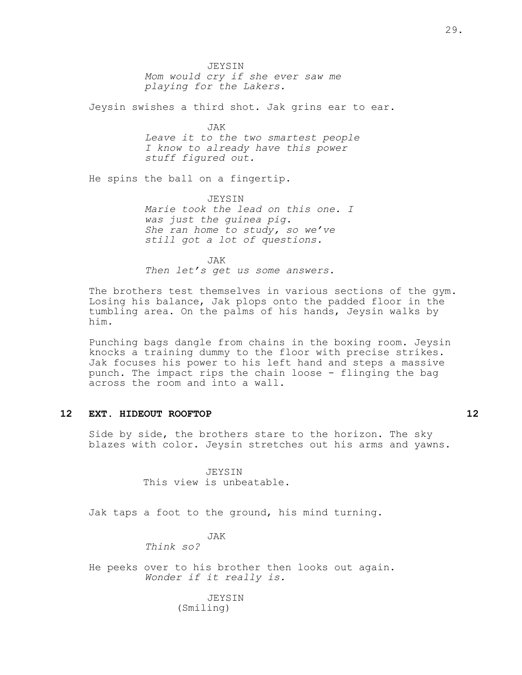JEYSIN *Mom would cry if she ever saw me playing for the Lakers.*

Jeysin swishes a third shot. Jak grins ear to ear.

JAK *Leave it to the two smartest people I know to already have this power stuff figured out.*

He spins the ball on a fingertip.

JEYSIN *Marie took the lead on this one. I was just the guinea pig. She ran home to study, so we've still got a lot of questions.*

JAK *Then let's get us some answers.*

The brothers test themselves in various sections of the gym. Losing his balance, Jak plops onto the padded floor in the tumbling area. On the palms of his hands, Jeysin walks by him.

Punching bags dangle from chains in the boxing room. Jeysin knocks a training dummy to the floor with precise strikes. Jak focuses his power to his left hand and steps a massive punch. The impact rips the chain loose - flinging the bag across the room and into a wall.

## **12 EXT. HIDEOUT ROOFTOP 12**

Side by side, the brothers stare to the horizon. The sky blazes with color. Jeysin stretches out his arms and yawns.

> JEYSIN This view is unbeatable.

Jak taps a foot to the ground, his mind turning.

#### JAK

*Think so?*

He peeks over to his brother then looks out again. *Wonder if it really is.*

## JEYSIN (Smiling)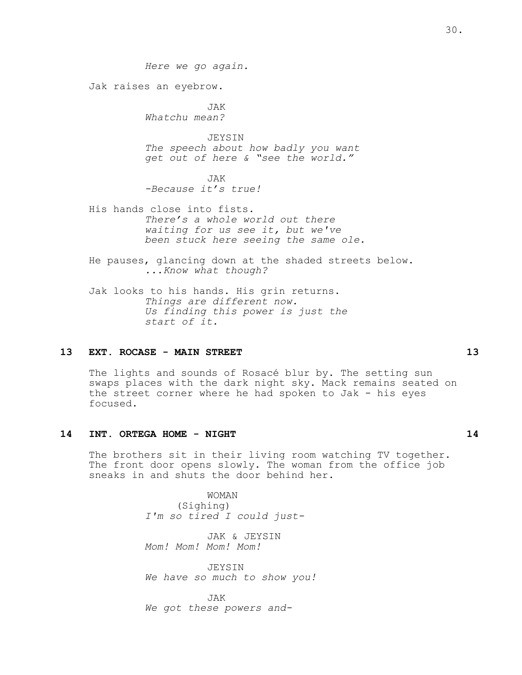*Here we go again.* Jak raises an eyebrow. JAK *Whatchu mean?* JEYSIN *The speech about how badly you want get out of here & "see the world."* JAK *-Because it's true!* His hands close into fists. *There's a whole world out there waiting for us see it, but we've been stuck here seeing the same ole.* He pauses, glancing down at the shaded streets below. *...Know what though?* Jak looks to his hands. His grin returns.

*Things are different now. Us finding this power is just the start of it.*

## **13 EXT. ROCASE - MAIN STREET 13**

The lights and sounds of Rosacé blur by. The setting sun swaps places with the dark night sky. Mack remains seated on the street corner where he had spoken to Jak - his eyes focused.

### **14 INT. ORTEGA HOME - NIGHT 14**

The brothers sit in their living room watching TV together. The front door opens slowly. The woman from the office job sneaks in and shuts the door behind her.

> WOMAN (Sighing) *I'm so tired I could just-*

JAK & JEYSIN *Mom! Mom! Mom! Mom!*

JEYSIN *We have so much to show you!*

JAK *We got these powers and-*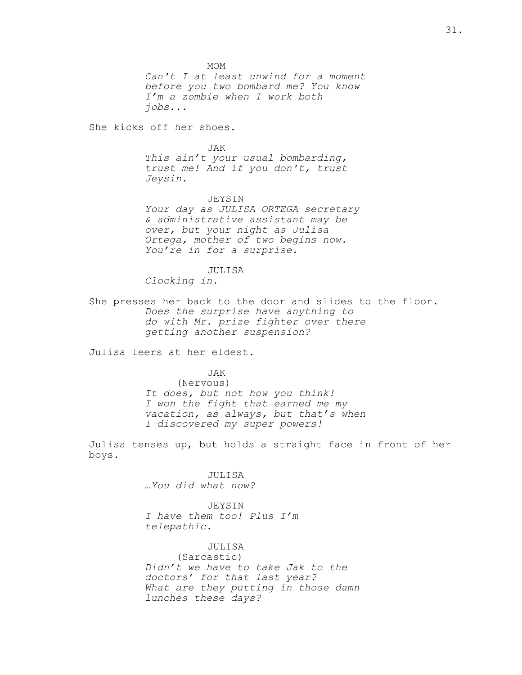MOM *Can't I at least unwind for a moment before you two bombard me? You know I'm a zombie when I work both jobs...*

She kicks off her shoes.

#### JAK

*This ain't your usual bombarding, trust me! And if you don't, trust Jeysin.*

#### JEYSIN

*Your day as JULISA ORTEGA secretary & administrative assistant may be over, but your night as Julisa Ortega, mother of two begins now. You're in for a surprise.*

#### JULISA

*Clocking in.*

She presses her back to the door and slides to the floor. *Does the surprise have anything to do with Mr. prize fighter over there getting another suspension?*

Julisa leers at her eldest.

#### JAK

(Nervous) *It does, but not how you think! I won the fight that earned me my vacation, as always, but that's when I discovered my super powers!*

Julisa tenses up, but holds a straight face in front of her boys.

> JULISA *…You did what now?*

JEYSIN *I have them too! Plus I'm telepathic.*

JULISA

(Sarcastic) *Didn't we have to take Jak to the doctors' for that last year? What are they putting in those damn lunches these days?*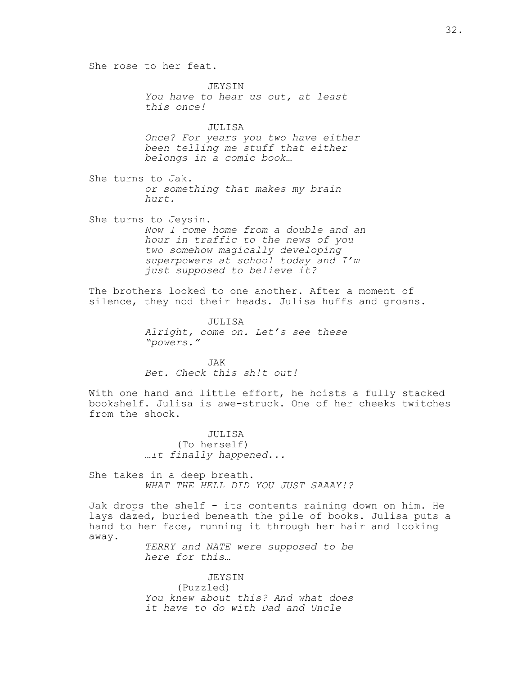She rose to her feat. JEYSIN *You have to hear us out, at least this once!* JULISA *Once? For years you two have either been telling me stuff that either belongs in a comic book…* She turns to Jak. *or something that makes my brain hurt.* She turns to Jeysin. *Now I come home from a double and an hour in traffic to the news of you two somehow magically developing superpowers at school today and I'm just supposed to believe it?* The brothers looked to one another. After a moment of silence, they nod their heads. Julisa huffs and groans. JULISA *Alright, come on. Let's see these "powers."* JAK *Bet. Check this sh!t out!* With one hand and little effort, he hoists a fully stacked bookshelf. Julisa is awe-struck. One of her cheeks twitches from the shock. JULISA

(To herself) *…It finally happened...*

She takes in a deep breath. *WHAT THE HELL DID YOU JUST SAAAY!?*

Jak drops the shelf - its contents raining down on him. He lays dazed, buried beneath the pile of books. Julisa puts a hand to her face, running it through her hair and looking away.

> *TERRY and NATE were supposed to be here for this…*

> JEYSIN (Puzzled) *You knew about this? And what does it have to do with Dad and Uncle*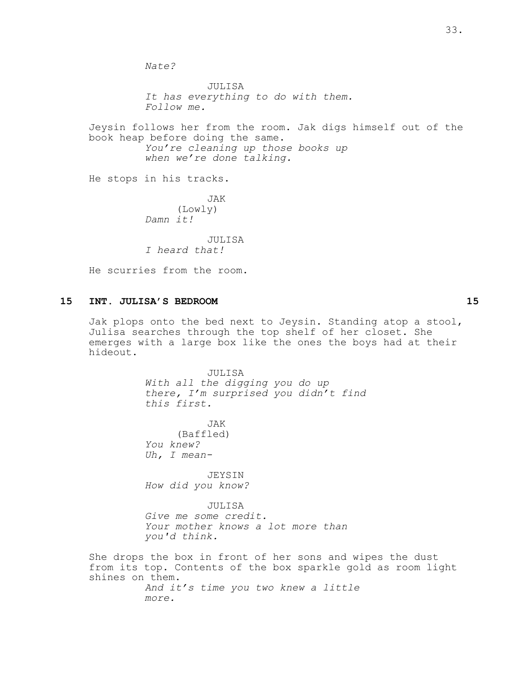*Nate?*

JULISA *It has everything to do with them. Follow me.*

Jeysin follows her from the room. Jak digs himself out of the book heap before doing the same. *You're cleaning up those books up when we're done talking.*

He stops in his tracks.

JAK (Lowly) *Damn it!*

JULISA *I heard that!*

He scurries from the room.

## **15 INT. JULISA'S BEDROOM 15**

Jak plops onto the bed next to Jeysin. Standing atop a stool, Julisa searches through the top shelf of her closet. She emerges with a large box like the ones the boys had at their hideout.

> JULISA *With all the digging you do up there, I'm surprised you didn't find this first.*

JAK (Baffled) *You knew? Uh, I mean-*

JEYSIN *How did you know?*

JULISA *Give me some credit. Your mother knows a lot more than you'd think.*

She drops the box in front of her sons and wipes the dust from its top. Contents of the box sparkle gold as room light shines on them. *And it's time you two knew a little more.*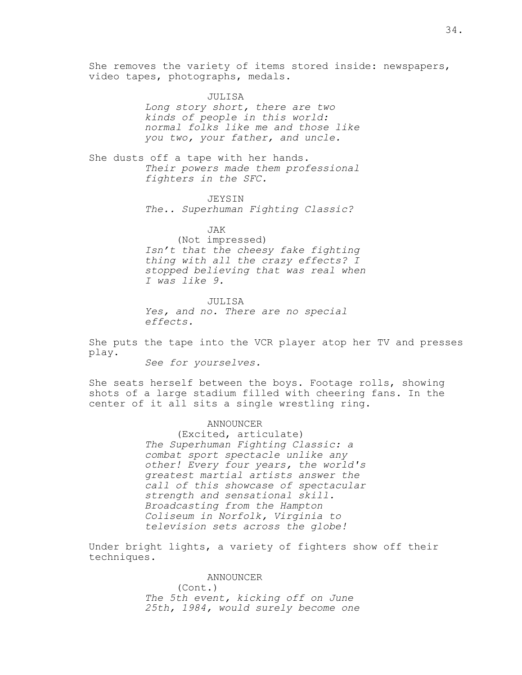She removes the variety of items stored inside: newspapers, video tapes, photographs, medals.

> JULISA *Long story short, there are two kinds of people in this world: normal folks like me and those like you two, your father, and uncle.*

She dusts off a tape with her hands. *Their powers made them professional fighters in the SFC.*

> JEYSIN *The.. Superhuman Fighting Classic?*

JAK (Not impressed) *Isn't that the cheesy fake fighting thing with all the crazy effects? I stopped believing that was real when I was like 9.*

JULISA *Yes, and no. There are no special effects.*

She puts the tape into the VCR player atop her TV and presses play.

*See for yourselves.*

She seats herself between the boys. Footage rolls, showing shots of a large stadium filled with cheering fans. In the center of it all sits a single wrestling ring.

#### ANNOUNCER

(Excited, articulate) *The Superhuman Fighting Classic: a combat sport spectacle unlike any other! Every four years, the world's greatest martial artists answer the call of this showcase of spectacular strength and sensational skill. Broadcasting from the Hampton Coliseum in Norfolk, Virginia to television sets across the globe!*

Under bright lights, a variety of fighters show off their techniques.

> ANNOUNCER (Cont.) *The 5th event, kicking off on June 25th, 1984, would surely become one*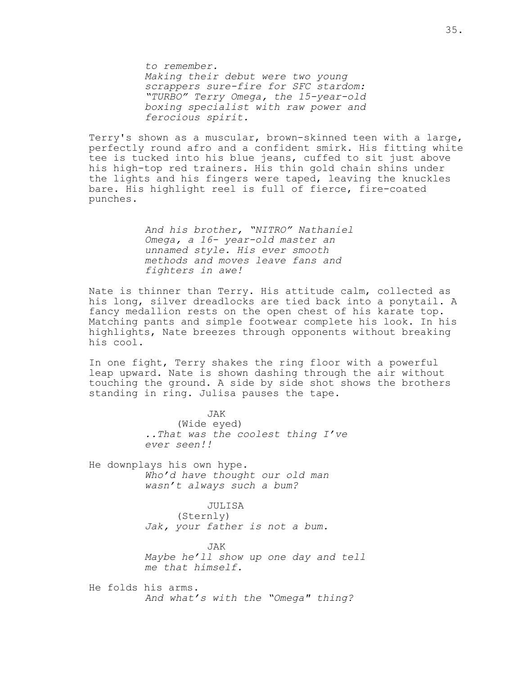*to remember. Making their debut were two young scrappers sure-fire for SFC stardom: "TURBO" Terry Omega, the 15-year-old boxing specialist with raw power and ferocious spirit.*

Terry's shown as a muscular, brown-skinned teen with a large, perfectly round afro and a confident smirk. His fitting white tee is tucked into his blue jeans, cuffed to sit just above his high-top red trainers. His thin gold chain shins under the lights and his fingers were taped, leaving the knuckles bare. His highlight reel is full of fierce, fire-coated punches.

> *And his brother, "NITRO" Nathaniel Omega, a 16- year-old master an unnamed style. His ever smooth methods and moves leave fans and fighters in awe!*

Nate is thinner than Terry. His attitude calm, collected as his long, silver dreadlocks are tied back into a ponytail. A fancy medallion rests on the open chest of his karate top. Matching pants and simple footwear complete his look. In his highlights, Nate breezes through opponents without breaking his cool.

In one fight, Terry shakes the ring floor with a powerful leap upward. Nate is shown dashing through the air without touching the ground. A side by side shot shows the brothers standing in ring. Julisa pauses the tape.

> JAK (Wide eyed) *..That was the coolest thing I've ever seen!!*

He downplays his own hype. *Who'd have thought our old man wasn't always such a bum?*

> JULISA (Sternly) *Jak, your father is not a bum.*

JAK *Maybe he'll show up one day and tell me that himself.*

He folds his arms. *And what's with the "Omega" thing?*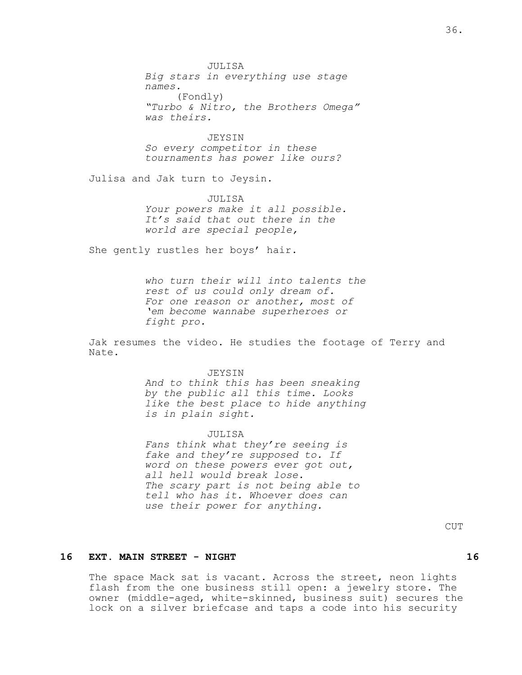JULISA *Big stars in everything use stage names.* (Fondly) *"Turbo & Nitro, the Brothers Omega" was theirs.*

JEYSIN *So every competitor in these tournaments has power like ours?*

Julisa and Jak turn to Jeysin.

JULISA *Your powers make it all possible. It's said that out there in the world are special people,*

She gently rustles her boys' hair.

*who turn their will into talents the rest of us could only dream of. For one reason or another, most of 'em become wannabe superheroes or fight pro.*

Jak resumes the video. He studies the footage of Terry and Nate.

#### JEYSIN

*And to think this has been sneaking by the public all this time. Looks like the best place to hide anything is in plain sight.*

JULISA

*Fans think what they're seeing is fake and they're supposed to. If word on these powers ever got out, all hell would break lose. The scary part is not being able to tell who has it. Whoever does can use their power for anything.*

CUT

#### **16 EXT. MAIN STREET - NIGHT 16**

The space Mack sat is vacant. Across the street, neon lights flash from the one business still open: a jewelry store. The owner (middle-aged, white-skinned, business suit) secures the lock on a silver briefcase and taps a code into his security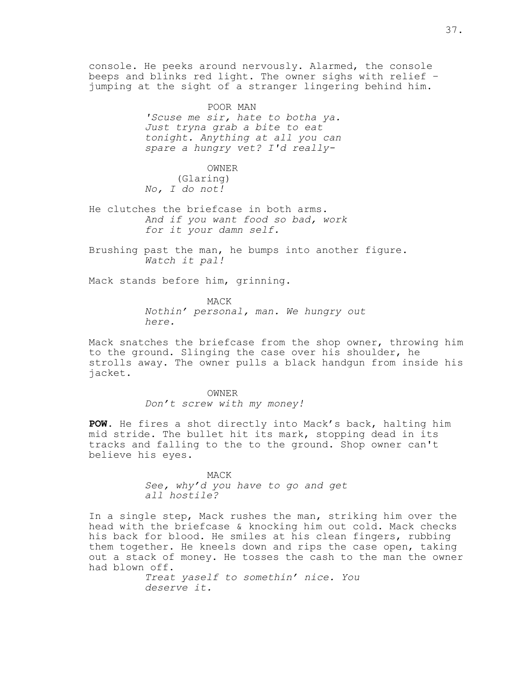console. He peeks around nervously. Alarmed, the console beeps and blinks red light. The owner sighs with relief – jumping at the sight of a stranger lingering behind him.

> POOR MAN *'Scuse me sir, hate to botha ya. Just tryna grab a bite to eat tonight. Anything at all you can spare a hungry vet? I'd really-*

OWNER (Glaring) *No, I do not!*

He clutches the briefcase in both arms. *And if you want food so bad, work for it your damn self.*

Brushing past the man, he bumps into another figure. *Watch it pal!*

Mack stands before him, grinning.

MACK *Nothin' personal, man. We hungry out here.*

Mack snatches the briefcase from the shop owner, throwing him to the ground. Slinging the case over his shoulder, he strolls away. The owner pulls a black handgun from inside his jacket.

> OWNER *Don't screw with my money!*

**POW**. He fires a shot directly into Mack's back, halting him mid stride. The bullet hit its mark, stopping dead in its tracks and falling to the to the ground. Shop owner can't believe his eyes.

> MACK *See, why'd you have to go and get all hostile?*

In a single step, Mack rushes the man, striking him over the head with the briefcase & knocking him out cold. Mack checks his back for blood. He smiles at his clean fingers, rubbing them together. He kneels down and rips the case open, taking out a stack of money. He tosses the cash to the man the owner had blown off.

> *Treat yaself to somethin' nice. You deserve it.*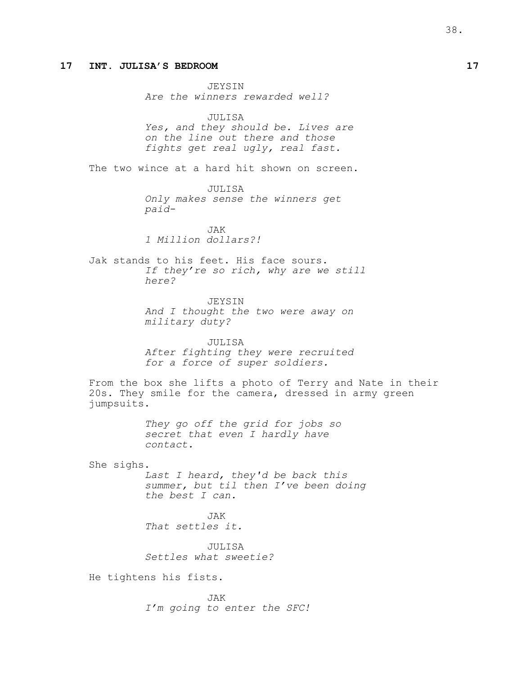## **17 INT. JULISA'S BEDROOM 17**

JEYSIN *Are the winners rewarded well?*

JULISA *Yes, and they should be. Lives are on the line out there and those fights get real ugly, real fast.*

The two wince at a hard hit shown on screen.

JULISA *Only makes sense the winners get paid-*

JAK *1 Million dollars?!*

Jak stands to his feet. His face sours. *If they're so rich, why are we still here?*

> JEYSIN *And I thought the two were away on military duty?*

> JULISA *After fighting they were recruited for a force of super soldiers.*

From the box she lifts a photo of Terry and Nate in their 20s. They smile for the camera, dressed in army green jumpsuits.

> *They go off the grid for jobs so secret that even I hardly have contact.*

She sighs.

*Last I heard, they'd be back this summer, but til then I've been doing the best I can.*

JAK *That settles it.*

JULISA *Settles what sweetie?*

He tightens his fists.

JAK *I'm going to enter the SFC!*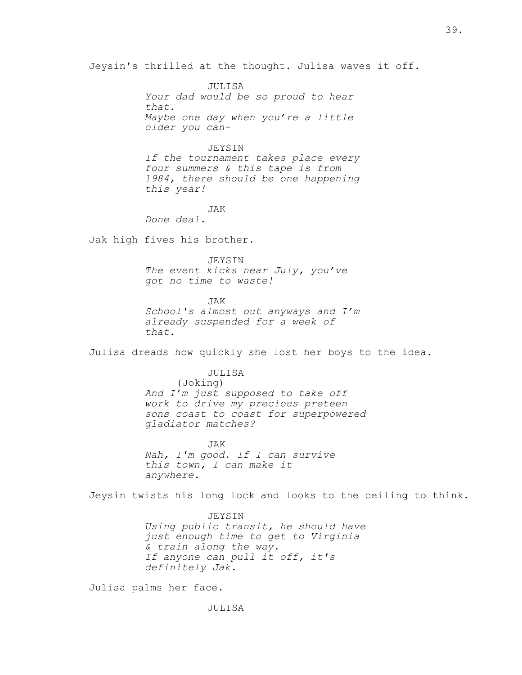Jeysin's thrilled at the thought. Julisa waves it off.

JULISA *Your dad would be so proud to hear that. Maybe one day when you're a little older you can-*

### JEYSIN

*If the tournament takes place every four summers & this tape is from 1984, there should be one happening this year!*

JAK

*Done deal.*

Jak high fives his brother.

JEYSIN

*The event kicks near July, you've got no time to waste!*

JAK *School's almost out anyways and I'm already suspended for a week of that.*

Julisa dreads how quickly she lost her boys to the idea.

### JULISA

(Joking) *And I'm just supposed to take off work to drive my precious preteen sons coast to coast for superpowered gladiator matches?*

JAK *Nah, I'm good. If I can survive this town, I can make it anywhere.*

Jeysin twists his long lock and looks to the ceiling to think.

JEYSIN *Using public transit, he should have just enough time to get to Virginia & train along the way. If anyone can pull it off, it's definitely Jak.*

Julisa palms her face.

JULISA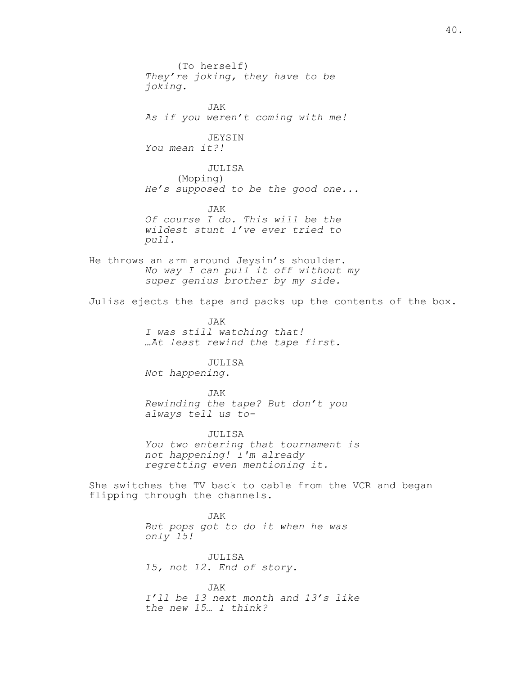(To herself) *They're joking, they have to be joking.* JAK *As if you weren't coming with me!* JEYSIN *You mean it?!* JULISA (Moping) *He's supposed to be the good one...* JAK *Of course I do. This will be the wildest stunt I've ever tried to pull.* He throws an arm around Jeysin's shoulder. *No way I can pull it off without my super genius brother by my side.* Julisa ejects the tape and packs up the contents of the box. JAK *I was still watching that! …At least rewind the tape first.* JULISA *Not happening.* JAK *Rewinding the tape? But don't you always tell us to-*JULISA *You two entering that tournament is not happening! I'm already regretting even mentioning it.* She switches the TV back to cable from the VCR and began flipping through the channels. JAK *But pops got to do it when he was only 15!* JULISA *15, not 12. End of story.*

JAK *I'll be 13 next month and 13's like the new 15… I think?*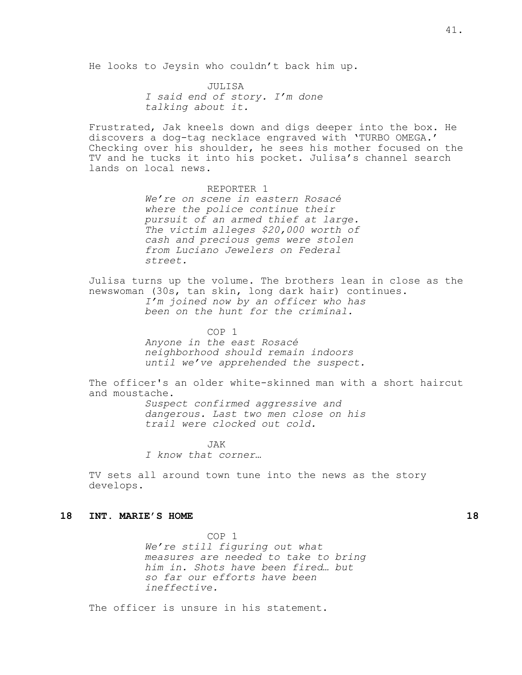He looks to Jeysin who couldn't back him up.

JULISA *I said end of story. I'm done talking about it.*

Frustrated, Jak kneels down and digs deeper into the box. He discovers a dog-tag necklace engraved with 'TURBO OMEGA.' Checking over his shoulder, he sees his mother focused on the TV and he tucks it into his pocket. Julisa's channel search lands on local news.

> REPORTER 1 *We're on scene in eastern Rosacé where the police continue their pursuit of an armed thief at large. The victim alleges \$20,000 worth of cash and precious gems were stolen from Luciano Jewelers on Federal street.*

Julisa turns up the volume. The brothers lean in close as the newswoman (30s, tan skin, long dark hair) continues. *I'm joined now by an officer who has been on the hunt for the criminal.*

> COP 1 *Anyone in the east Rosacé neighborhood should remain indoors until we've apprehended the suspect.*

The officer's an older white-skinned man with a short haircut and moustache. *Suspect confirmed aggressive and dangerous. Last two men close on his trail were clocked out cold.*

> $JX$ *I know that corner…*

TV sets all around town tune into the news as the story develops.

## **18 INT. MARIE'S HOME 18**

COP 1 *We're still figuring out what measures are needed to take to bring him in. Shots have been fired… but so far our efforts have been ineffective.*

The officer is unsure in his statement.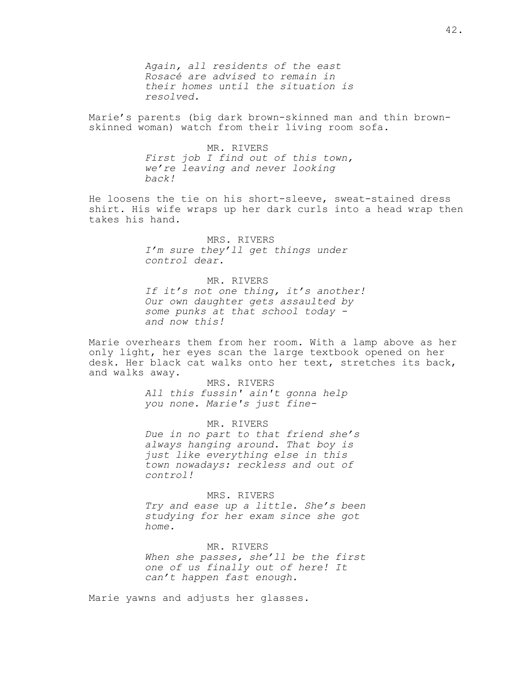*Again, all residents of the east Rosacé are advised to remain in their homes until the situation is resolved.*

Marie's parents (big dark brown-skinned man and thin brownskinned woman) watch from their living room sofa.

> MR. RIVERS *First job I find out of this town, we're leaving and never looking back!*

He loosens the tie on his short-sleeve, sweat-stained dress shirt. His wife wraps up her dark curls into a head wrap then takes his hand.

> MRS. RIVERS *I'm sure they'll get things under control dear.*

MR. RIVERS *If it's not one thing, it's another! Our own daughter gets assaulted by some punks at that school today and now this!*

Marie overhears them from her room. With a lamp above as her only light, her eyes scan the large textbook opened on her desk. Her black cat walks onto her text, stretches its back, and walks away.

> MRS. RIVERS *All this fussin' ain't gonna help you none. Marie's just fine-*

MR. RIVERS *Due in no part to that friend she's always hanging around. That boy is just like everything else in this town nowadays: reckless and out of control!*

MRS. RIVERS *Try and ease up a little. She's been studying for her exam since she got home.*

MR. RIVERS *When she passes, she'll be the first one of us finally out of here! It can't happen fast enough.*

Marie yawns and adjusts her glasses.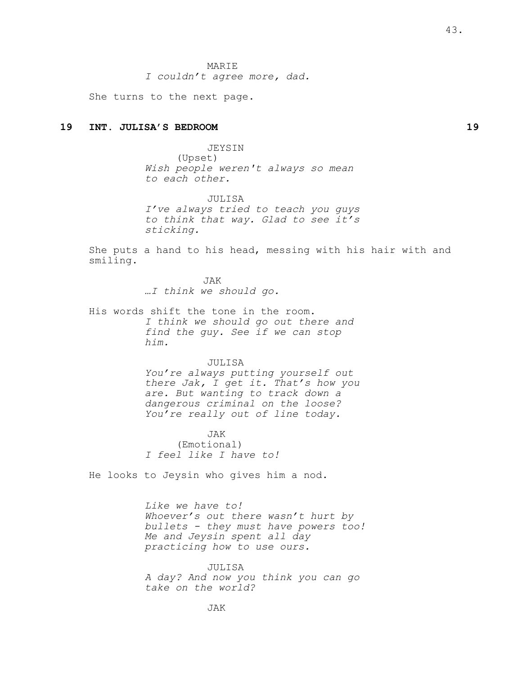MARIE *I couldn't agree more, dad.*

She turns to the next page.

## **19 INT. JULISA'S BEDROOM 19**

JEYSIN (Upset) Wish people weren't always so mean to each other.

JULISA I've always tried to teach you guys to think that way. Glad to see it's sticking.

She puts a hand to his head, messing with his hair with and smiling.

> JAK …I think we should go.

His words shift the tone in the room. *I think we should go out there and find the guy. See if we can stop him.*

#### JULISA

*You're always putting yourself out there Jak, I get it. That's how you are. But wanting to track down a dangerous criminal on the loose? You're really out of line today.*

JAK (Emotional) *I feel like I have to!*

He looks to Jeysin who gives him a nod.

*Like we have to! Whoever's out there wasn't hurt by bullets - they must have powers too! Me and Jeysin spent all day practicing how to use ours.*

JULISA *A day? And now you think you can go take on the world?*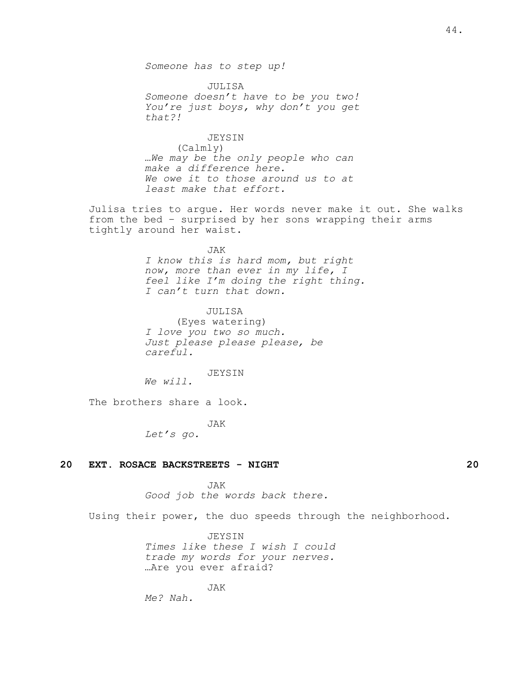*Someone has to step up!*

JULISA *Someone doesn't have to be you two! You're just boys, why don't you get that?!*

JEYSIN (Calmly) *…We may be the only people who can make a difference here. We owe it to those around us to at least make that effort.*

Julisa tries to argue. Her words never make it out. She walks from the bed – surprised by her sons wrapping their arms tightly around her waist.

JAK

*I know this is hard mom, but right now, more than ever in my life, I feel like I'm doing the right thing. I can't turn that down.*

 JULISA (Eyes watering) I love you two so much. Just please please please, be careful.

JEYSIN We will.

The brothers share a look.

JAK

Let's go.

## **20 EXT. ROSACE BACKSTREETS - NIGHT 20**

JAK

*Good job the words back there.*

Using their power, the duo speeds through the neighborhood.

**JEYSIN** *Times like these I wish I could trade my words for your nerves.* …Are you ever afraid?

JAK

*Me? Nah.*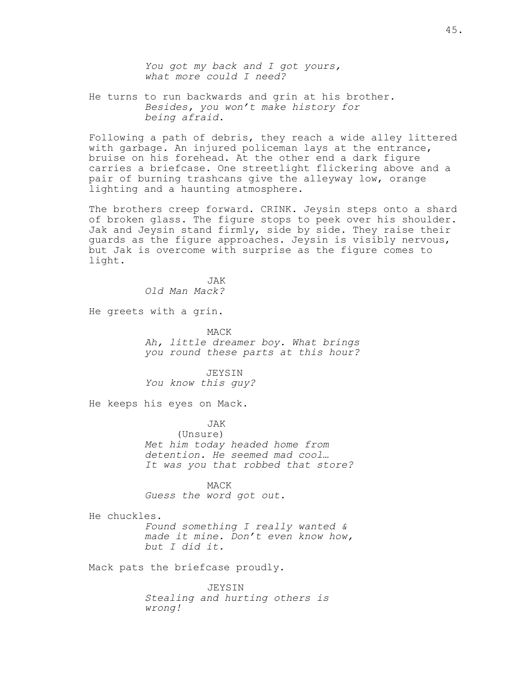*You got my back and I got yours, what more could I need?*

He turns to run backwards and grin at his brother. *Besides, you won't make history for being afraid.*

Following a path of debris, they reach a wide alley littered with garbage. An injured policeman lays at the entrance, bruise on his forehead. At the other end a dark figure carries a briefcase. One streetlight flickering above and a pair of burning trashcans give the alleyway low, orange lighting and a haunting atmosphere.

The brothers creep forward. CRINK. Jeysin steps onto a shard of broken glass. The figure stops to peek over his shoulder. Jak and Jeysin stand firmly, side by side. They raise their guards as the figure approaches. Jeysin is visibly nervous, but Jak is overcome with surprise as the figure comes to light.

> JAK *Old Man Mack?*

He greets with a grin.

MACK *Ah, little dreamer boy. What brings you round these parts at this hour?*

 JEYSIN You know this guy?

He keeps his eyes on Mack.

JAK (Unsure) *Met him today headed home from detention. He seemed mad cool… It was you that robbed that store?*

MACK *Guess the word got out.*

He chuckles.

*Found something I really wanted & made it mine. Don't even know how, but I did it.*

Mack pats the briefcase proudly.

JEYSIN *Stealing and hurting others is wrong!*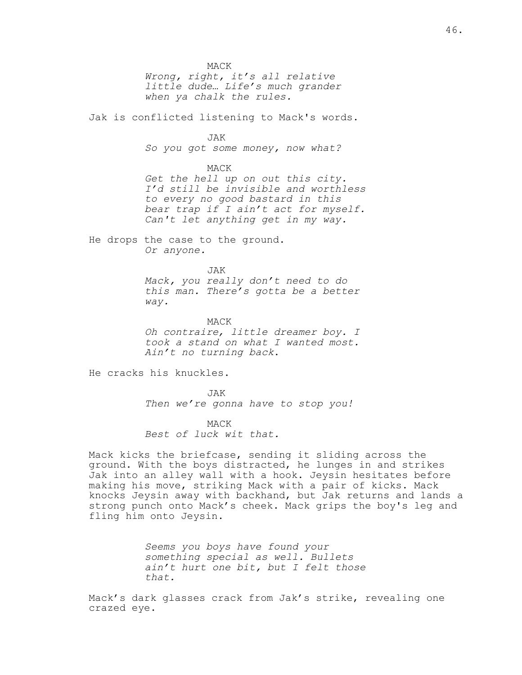MACK *Wrong, right, it's all relative little dude… Life's much grander when ya chalk the rules.*

Jak is conflicted listening to Mack's words.

JAK

*So you got some money, now what?*

#### MACK

*Get the hell up on out this city. I'd still be invisible and worthless to every no good bastard in this bear trap if I ain't act for myself. Can't let anything get in my way.*

He drops the case to the ground. *Or anyone.*

> JAK *Mack, you really don't need to do this man. There's gotta be a better way.*

> MACK Oh contraire, little dreamer boy. I took a stand on what I wanted most. Ain't no turning back.

He cracks his knuckles.

JAK *Then we're gonna have to stop you!*

MACK *Best of luck wit that.*

Mack kicks the briefcase, sending it sliding across the ground. With the boys distracted, he lunges in and strikes Jak into an alley wall with a hook. Jeysin hesitates before making his move, striking Mack with a pair of kicks. Mack knocks Jeysin away with backhand, but Jak returns and lands a strong punch onto Mack's cheek. Mack grips the boy's leg and fling him onto Jeysin.

> *Seems you boys have found your something special as well. Bullets ain't hurt one bit, but I felt those that.*

Mack's dark glasses crack from Jak's strike, revealing one crazed eye.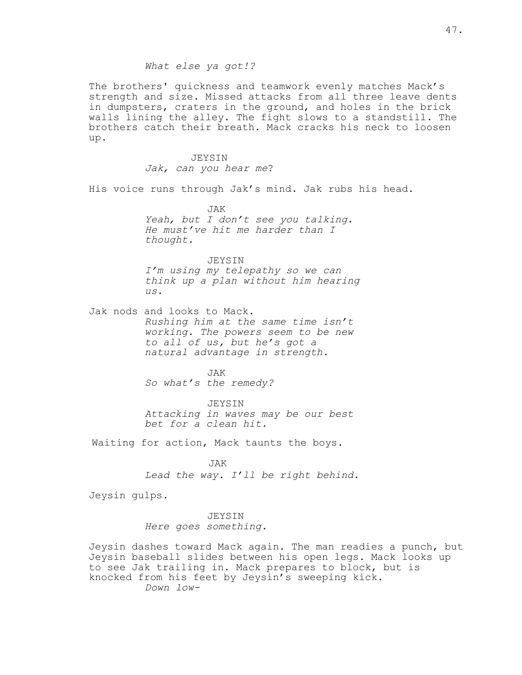## *What else ya got!?*

The brothers' quickness and teamwork evenly matches Mack's strength and size. Missed attacks from all three leave dents in dumpsters, craters in the ground, and holes in the brick walls lining the alley. The fight slows to a standstill. The brothers catch their breath. Mack cracks his neck to loosen up.

> JEYSIN Jak, can you hear me?

His voice runs through Jak's mind. Jak rubs his head.

JAK Yeah, but I don't see you talking. He must've hit me harder than I thought.

JEYSIN I'm using my telepathy so we can think up a plan without him hearing us.

Jak nods and looks to Mack. *Rushing him at the same time isn't working. The powers seem to be new to all of us, but he's got a natural advantage in strength.*

> JAK *So what's the remedy?*

JEYSIN *Attacking in waves may be our best bet for a clean hit.*

Waiting for action, Mack taunts the boys.

JAK *Lead the way. I'll be right behind.*

Jeysin gulps.

JEYSIN *Here goes something.*

Jeysin dashes toward Mack again. The man readies a punch, but Jeysin baseball slides between his open legs. Mack looks up to see Jak trailing in. Mack prepares to block, but is knocked from his feet by Jeysin's sweeping kick. *Down low-*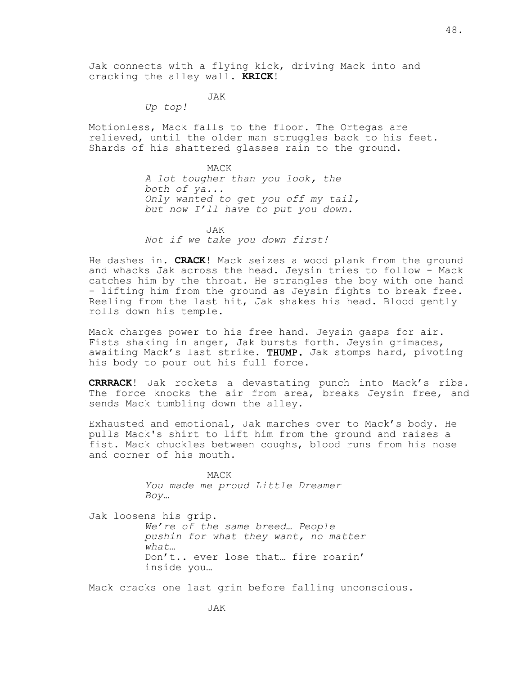Jak connects with a flying kick, driving Mack into and cracking the alley wall. **KRICK**!

JAK

*Up top!*

Motionless, Mack falls to the floor. The Ortegas are relieved, until the older man struggles back to his feet. Shards of his shattered glasses rain to the ground.

MACK

*A lot tougher than you look, the both of ya... Only wanted to get you off my tail, but now I'll have to put you down.*

 JAK Not if we take you down first!

He dashes in. **CRACK**! Mack seizes a wood plank from the ground and whacks Jak across the head. Jeysin tries to follow - Mack catches him by the throat. He strangles the boy with one hand - lifting him from the ground as Jeysin fights to break free. Reeling from the last hit, Jak shakes his head. Blood gently rolls down his temple.

Mack charges power to his free hand. Jeysin gasps for air. Fists shaking in anger, Jak bursts forth. Jeysin grimaces, awaiting Mack's last strike. THUMP. Jak stomps hard, pivoting his body to pour out his full force.

**CRRRACK**! Jak rockets a devastating punch into Mack's ribs. The force knocks the air from area, breaks Jeysin free, and sends Mack tumbling down the alley.

Exhausted and emotional, Jak marches over to Mack's body. He pulls Mack's shirt to lift him from the ground and raises a fist. Mack chuckles between coughs, blood runs from his nose and corner of his mouth.

> MACK *You made me proud Little Dreamer Boy…*

Jak loosens his grip. *We're of the same breed… People pushin for what they want, no matter what…* Don't.. ever lose that… fire roarin' inside you…

Mack cracks one last grin before falling unconscious.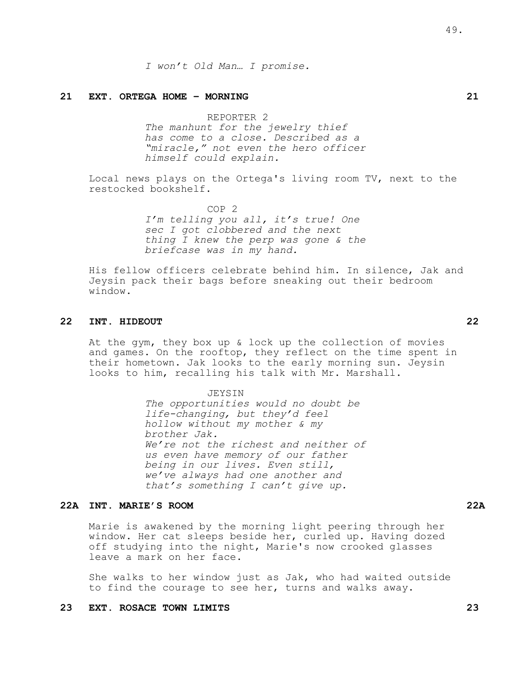*I won't Old Man… I promise.*

### **21 EXT. ORTEGA HOME – MORNING 21**

REPORTER 2

*The manhunt for the jewelry thief has come to a close. Described as a "miracle," not even the hero officer himself could explain.*

Local news plays on the Ortega's living room TV, next to the restocked bookshelf.

> COP 2 *I'm telling you all, it's true! One sec I got clobbered and the next thing I knew the perp was gone & the briefcase was in my hand.*

His fellow officers celebrate behind him. In silence, Jak and Jeysin pack their bags before sneaking out their bedroom window.

## **22 INT. HIDEOUT 22**

At the gym, they box up & lock up the collection of movies and games. On the rooftop, they reflect on the time spent in their hometown. Jak looks to the early morning sun. Jeysin looks to him, recalling his talk with Mr. Marshall.

> JEYSIN The opportunities would no doubt be life-changing, but they'd *feel hollow without my mother & my brother Jak*. We're not the richest and neither of us even have memory of our father being in our lives. Even still, we've always had one another and that's something I can't give up.

## **22A INT. MARIE'S ROOM 22A**

Marie is awakened by the morning light peering through her window. Her cat sleeps beside her, curled up. Having dozed off studying into the night, Marie's now crooked glasses leave a mark on her face.

She walks to her window just as Jak, who had waited outside to find the courage to see her, turns and walks away.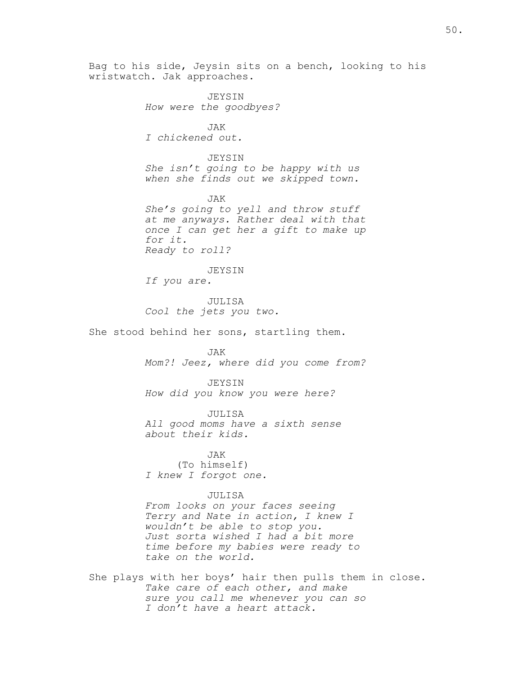Bag to his side, Jeysin sits on a bench, looking to his wristwatch. Jak approaches.

> JEYSIN *How were the goodbyes?*

JAK *I chickened out.*

JEYSIN *She isn't going to be happy with us when she finds out we skipped town.*

JAK *She's going to yell and throw stuff at me anyways. Rather deal with that once I can get her a gift to make up for it. Ready to roll?*

JEYSIN *If you are.*

JULISA *Cool the jets you two.*

She stood behind her sons, startling them.

JAK *Mom?! Jeez, where did you come from?*

JEYSIN *How did you know you were here?*

JULISA *All good moms have a sixth sense about their kids.*

JAK (To himself) *I knew I forgot one.*

## JULISA

*From looks on your faces seeing Terry and Nate in action, I knew I wouldn't be able to stop you. Just sorta wished I had a bit more time before my babies were ready to take on the world.*

She plays with her boys' hair then pulls them in close. *Take care of each other, and make sure you call me whenever you can so I don't have a heart attack.*